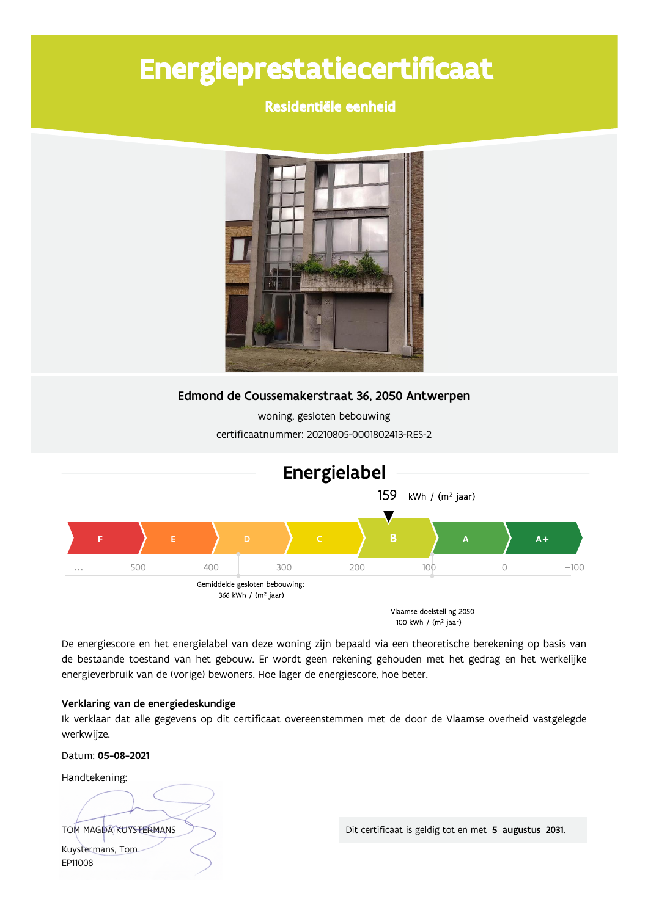# Energieprestatiecertificaat

Residentiële eenheid



Edmond de Coussemakerstraat 36, 2050 Antwerpen

woning, gesloten bebouwing certificaatnummer: 20210805-0001802413-RES-2



De energiescore en het energielabel van deze woning zijn bepaald via een theoretische berekening op basis van de bestaande toestand van het gebouw. Er wordt geen rekening gehouden met het gedrag en het werkelijke energieverbruik van de (vorige) bewoners. Hoe lager de energiescore, hoe beter.

# Verklaring van de energiedeskundige

Ik verklaar dat alle gegevens op dit certificaat overeenstemmen met de door de Vlaamse overheid vastgelegde werkwijze.

Datum: 05-08-2021

Handtekening:

TOM MAGDA KUYSTERMANS Kuystermans, Tom EP11008

Dit certificaat is geldig tot en met 5 augustus 2031.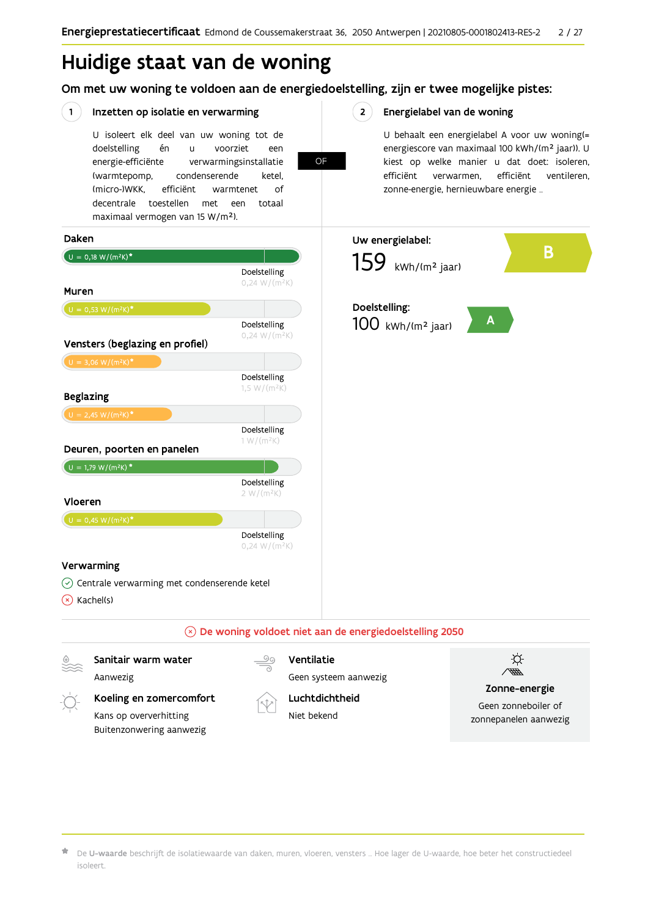**OF** 

 $2^{\circ}$ 

# Huidige staat van de woning

Om met uw woning te voldoen aan de energiedoelstelling, zijn er twee mogelijke pistes:

#### $(1)$ Inzetten op isolatie en verwarming

U isoleert elk deel van uw woning tot de voorziet doelstelling én  $\mathbf{u}$ een energie-efficiënte verwarmingsinstallatie (warmtepomp, condenserende ketel. (micro-)WKK. efficiënt warmtenet  $\bigcap_{ }$ decentrale toestellen met een totaal maximaal vermogen van 15 W/m<sup>2</sup>).

Energielabel van de woning

U behaalt een energielabel A voor uw woning(= energiescore van maximaal 100 kWh/(m<sup>2</sup> jaar)). U kiest op welke manier u dat doet: isoleren, efficiënt ventileren, efficiënt verwarmen, zonne-energie, hernieuwbare energie ...



De U-waarde beschrijft de isolatiewaarde van daken, muren, vloeren, vensters ... Hoe lager de U-waarde, hoe beter het constructiedeel isoleert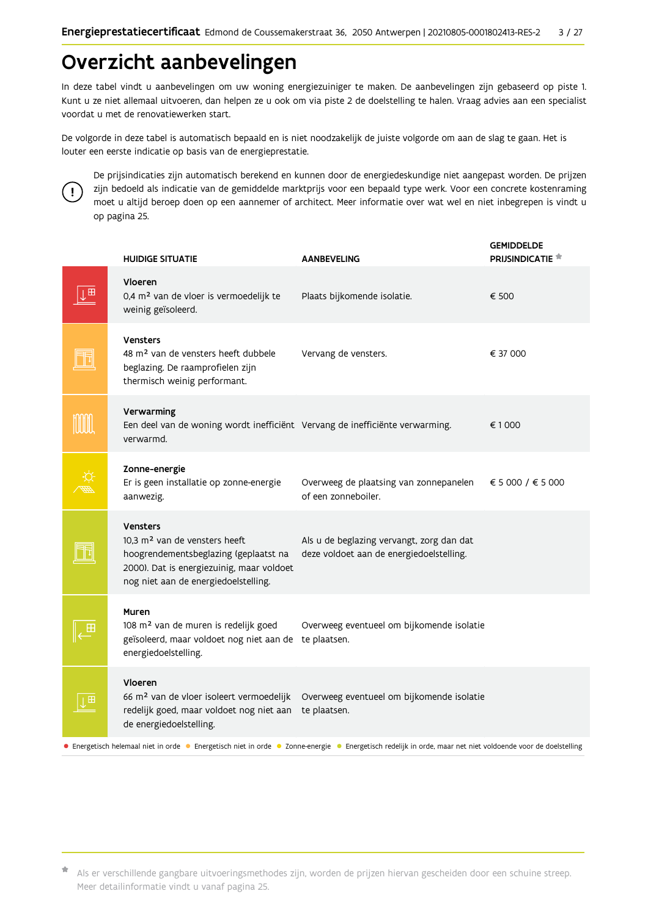# Overzicht aanbevelingen

In deze tabel vindt u aanbevelingen om uw woning energiezuiniger te maken. De aanbevelingen zijn gebaseerd op piste 1. Kunt u ze niet allemaal uitvoeren, dan helpen ze u ook om via piste 2 de doelstelling te halen. Vraag advies aan een specialist voordat u met de renovatiewerken start.

De volgorde in deze tabel is automatisch bepaald en is niet noodzakelijk de juiste volgorde om aan de slag te gaan. Het is louter een eerste indicatie op basis van de energieprestatie.



De prijsindicaties zijn automatisch berekend en kunnen door de energiedeskundige niet aangepast worden. De prijzen zijn bedoeld als indicatie van de gemiddelde marktprijs voor een bepaald type werk. Voor een concrete kostenraming moet u altijd beroep doen op een aannemer of architect. Meer informatie over wat wel en niet inbegrepen is vindt u op pagina 25.

|                                                                                                                                                             | <b>HUIDIGE SITUATIE</b>                                                                                                                                                                    | <b>AANBEVELING</b>                                                                    | <b>GEMIDDELDE</b><br>PRIJSINDICATIE <sup>*</sup> |  |  |
|-------------------------------------------------------------------------------------------------------------------------------------------------------------|--------------------------------------------------------------------------------------------------------------------------------------------------------------------------------------------|---------------------------------------------------------------------------------------|--------------------------------------------------|--|--|
| ⊪⊞                                                                                                                                                          | Vloeren<br>0,4 m <sup>2</sup> van de vloer is vermoedelijk te<br>weinig geïsoleerd.                                                                                                        | Plaats bijkomende isolatie.                                                           | € 500                                            |  |  |
|                                                                                                                                                             | Vensters<br>48 m <sup>2</sup> van de vensters heeft dubbele<br>beglazing. De raamprofielen zijn<br>thermisch weinig performant.                                                            | Vervang de vensters.                                                                  | € 37 000                                         |  |  |
|                                                                                                                                                             | Verwarming<br>Een deel van de woning wordt inefficiënt Vervang de inefficiënte verwarming.<br>verwarmd.                                                                                    |                                                                                       | €1000                                            |  |  |
|                                                                                                                                                             | Zonne-energie<br>Er is geen installatie op zonne-energie<br>aanwezig.                                                                                                                      | Overweeg de plaatsing van zonnepanelen<br>of een zonneboiler.                         | € 5 000 / € 5 000                                |  |  |
|                                                                                                                                                             | <b>Vensters</b><br>10,3 m <sup>2</sup> van de vensters heeft<br>hoogrendementsbeglazing (geplaatst na<br>2000). Dat is energiezuinig, maar voldoet<br>nog niet aan de energiedoelstelling. | Als u de beglazing vervangt, zorg dan dat<br>deze voldoet aan de energiedoelstelling. |                                                  |  |  |
|                                                                                                                                                             | Muren<br>108 m <sup>2</sup> van de muren is redelijk goed<br>geïsoleerd, maar voldoet nog niet aan de<br>energiedoelstelling.                                                              | Overweeg eventueel om bijkomende isolatie<br>te plaatsen.                             |                                                  |  |  |
| 田                                                                                                                                                           | Vloeren<br>66 m <sup>2</sup> van de vloer isoleert vermoedelijk<br>redelijk goed, maar voldoet nog niet aan<br>de energiedoelstelling.                                                     | Overweeg eventueel om bijkomende isolatie<br>te plaatsen.                             |                                                  |  |  |
| • Energetisch helemaal niet in orde • Energetisch niet in orde • Zonne-energie • Energetisch redelijk in orde, maar net niet voldoende voor de doelstelling |                                                                                                                                                                                            |                                                                                       |                                                  |  |  |

Als er verschillende gangbare uitvoeringsmethodes zijn, worden de prijzen hiervan gescheiden door een schuine streep. Meer detailinformatie vindt u vanaf pagina 25.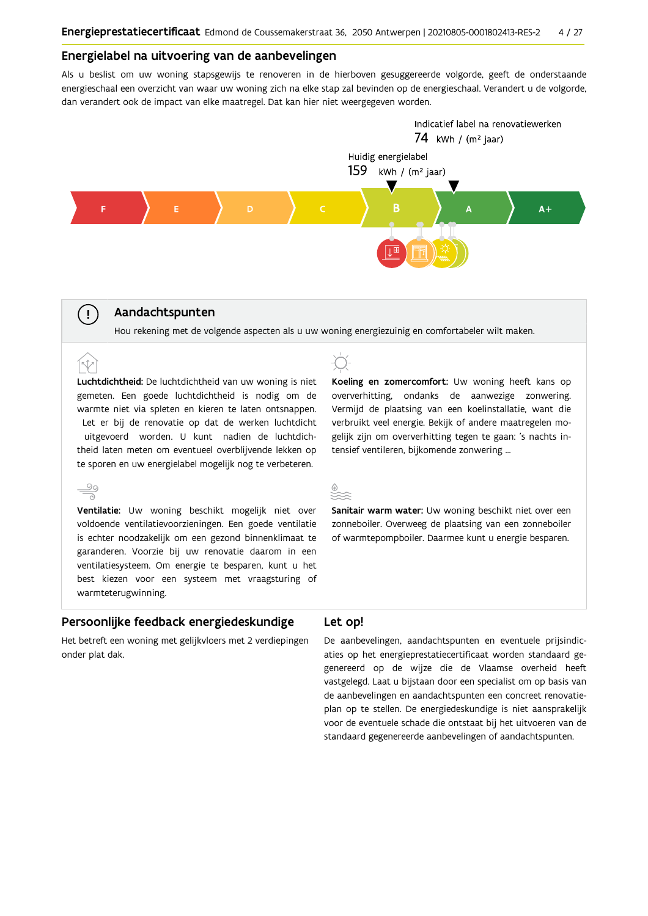### Energielabel na uitvoering van de aanbevelingen

Als u beslist om uw woning stapsgewijs te renoveren in de hierboven gesuggereerde volgorde, geeft de onderstaande energieschaal een overzicht van waar uw woning zich na elke stap zal bevinden op de energieschaal. Verandert u de volgorde, dan verandert ook de impact van elke maatregel. Dat kan hier niet weergegeven worden.



# Aandachtspunten

Hou rekening met de volgende aspecten als u uw woning energiezuinig en comfortabeler wilt maken.

Luchtdichtheid: De luchtdichtheid van uw woning is niet gemeten. Een goede luchtdichtheid is nodig om de warmte niet via spleten en kieren te laten ontsnappen. Let er bij de renovatie op dat de werken luchtdicht uitgevoerd worden. U kunt nadien de luchtdichtheid laten meten om eventueel overblijvende lekken op te sporen en uw energielabel mogelijk nog te verbeteren.



 $(\bot)$ 

(r.t

Ventilatie: Uw woning beschikt mogelijk niet over voldoende ventilatievoorzieningen. Een goede ventilatie is echter noodzakelijk om een gezond binnenklimaat te garanderen. Voorzie bij uw renovatie daarom in een ventilatiesysteem. Om energie te besparen, kunt u het best kiezen voor een systeem met vraagsturing of warmteterugwinning.



Koeling en zomercomfort: Uw woning heeft kans op oververhitting, ondanks de aanwezige zonwering. Vermijd de plaatsing van een koelinstallatie, want die verbruikt veel energie. Bekijk of andere maatregelen mogelijk zijn om oververhitting tegen te gaan: 's nachts intensief ventileren, bijkomende zonwering ...

Sanitair warm water: Uw woning beschikt niet over een zonneboiler. Overweeg de plaatsing van een zonneboiler of warmtepompboiler. Daarmee kunt u energie besparen.

#### Persoonlijke feedback energiedeskundige

### Let op!

Het betreft een woning met gelijkvloers met 2 verdiepingen onder plat dak.

De aanbevelingen, aandachtspunten en eventuele prijsindicaties op het energieprestatiecertificaat worden standaard gegenereerd op de wijze die de Vlaamse overheid heeft vastgelegd. Laat u bijstaan door een specialist om op basis van de aanbevelingen en aandachtspunten een concreet renovatieplan op te stellen. De energiedeskundige is niet aansprakelijk voor de eventuele schade die ontstaat bij het uitvoeren van de standaard gegenereerde aanbevelingen of aandachtspunten.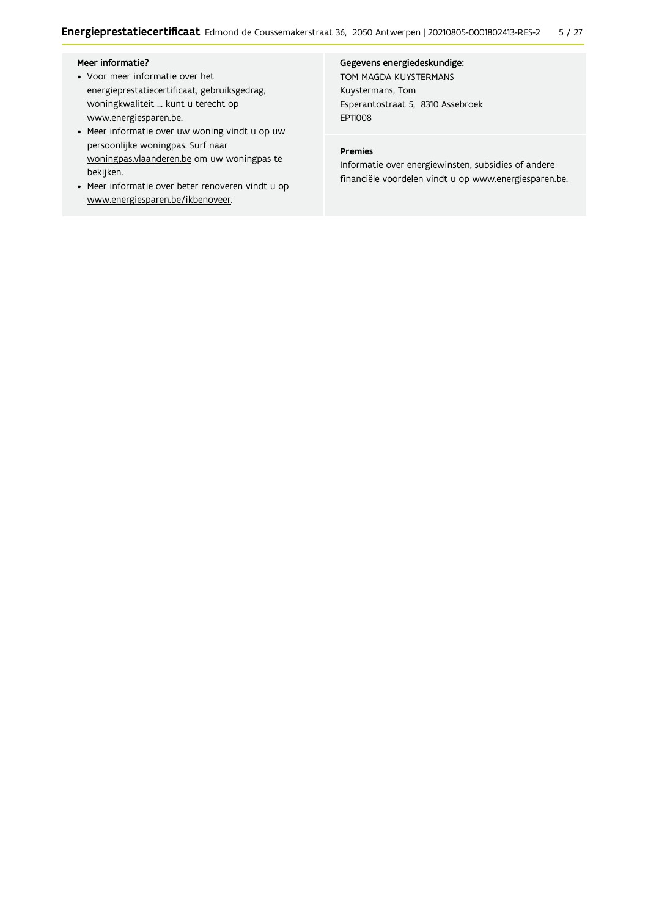### Meer informatie?

- Voor meer informatie over het energieprestatiecertificaat, gebruiksgedrag, woningkwaliteit ... kunt u terecht op www.energiesparen.be.
- Meer informatie over uw woning vindt u op uw persoonlijke woningpas. Surf naar woningpas.vlaanderen.be om uw woningpas te bekijken.
- Meer informatie over beter renoveren vindt u op www.energiesparen.be/ikbenoveer.

### Gegevens energiedeskundige:

TOM MAGDA KUYSTERMANS Kuystermans, Tom Esperantostraat 5, 8310 Assebroek EP11008

# Premies

Informatie over energiewinsten, subsidies of andere financiële voordelen vindt u op www.energiesparen.be.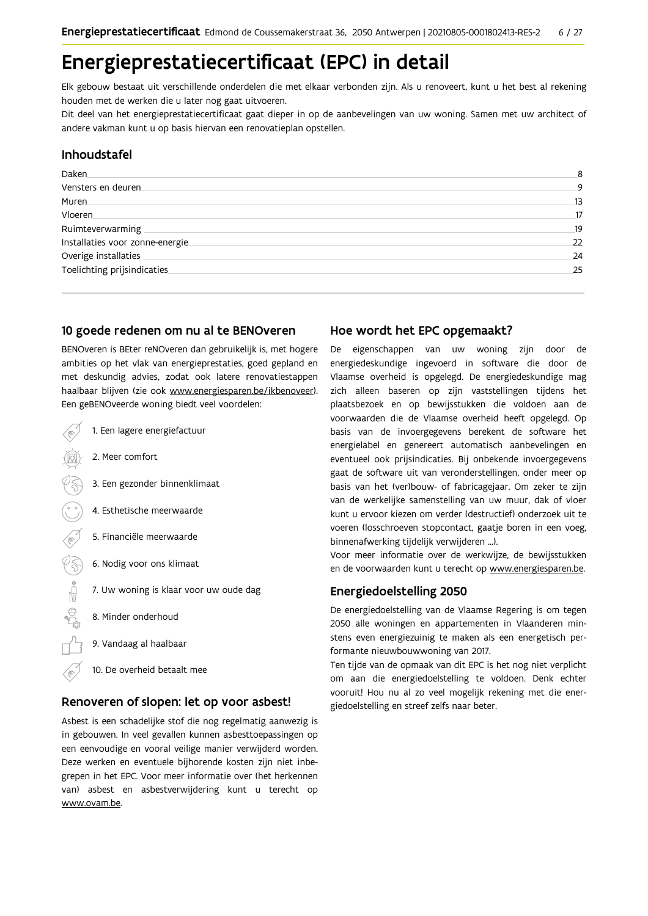# Energieprestatiecertificaat (EPC) in detail

Elk gebouw bestaat uit verschillende onderdelen die met elkaar verbonden zijn. Als u renoveert, kunt u het best al rekening houden met de werken die u later nog gaat uitvoeren.

Dit deel van het energieprestatiecertificaat gaat dieper in op de aanbevelingen van uw woning. Samen met uw architect of andere vakman kunt u op basis hiervan een renovatieplan opstellen.

# Inhoudstafel

| Daken.                           | 8  |
|----------------------------------|----|
| Vensters en deuren.              | 9  |
| Muren.                           | 13 |
| Vloeren                          | 17 |
| Ruimteverwarming                 | 19 |
| Installaties voor zonne-energie. | 22 |
| Overige installaties             | 24 |
| Toelichting prijsindicaties      | 25 |
|                                  |    |

## 10 goede redenen om nu al te BENOveren

BENOveren is BEter reNOveren dan gebruikelijk is, met hogere ambities op het vlak van energieprestaties, goed gepland en met deskundig advies, zodat ook latere renovatiestappen haalbaar blijven (zie ook www.energiesparen.be/ikbenoveer). Een geBENOveerde woning biedt veel voordelen:

1. Een lagere energiefactuur 2. Meer comfort 3. Een gezonder binnenklimaat 4. Esthetische meerwaarde 5. Financiële meerwaarde  $\frac{1}{2}$ 6. Nodig voor ons klimaat 7. Uw woning is klaar voor uw oude dag 8. Minder onderhoud 9. Vandaag al haalbaar 10. De overheid betaalt mee

## Renoveren of slopen: let op voor asbest!

Asbest is een schadelijke stof die nog regelmatig aanwezig is in gebouwen. In veel gevallen kunnen asbesttoepassingen op een eenvoudige en vooral veilige manier verwijderd worden. Deze werken en eventuele bijhorende kosten zijn niet inbegrepen in het EPC. Voor meer informatie over (het herkennen van) asbest en asbestverwijdering kunt u terecht op www.ovam.be.

# Hoe wordt het EPC opgemaakt?

De eigenschappen van uw woning zijn door de energiedeskundige ingevoerd in software die door de Vlaamse overheid is opgelegd. De energiedeskundige mag zich alleen baseren op zijn vaststellingen tijdens het plaatsbezoek en op bewijsstukken die voldoen aan de voorwaarden die de Vlaamse overheid heeft opgelegd. Op basis van de invoergegevens berekent de software het energielabel en genereert automatisch aanbevelingen en eventueel ook prijsindicaties. Bij onbekende invoergegevens gaat de software uit van veronderstellingen, onder meer op basis van het (ver)bouw- of fabricagejaar. Om zeker te zijn van de werkelijke samenstelling van uw muur, dak of vloer kunt u ervoor kiezen om verder (destructief) onderzoek uit te voeren (losschroeven stopcontact, gaatje boren in een voeg, binnenafwerking tijdelijk verwijderen ...).

Voor meer informatie over de werkwijze, de bewijsstukken en de voorwaarden kunt u terecht op www.energiesparen.be.

## **Energiedoelstelling 2050**

De energiedoelstelling van de Vlaamse Regering is om tegen 2050 alle woningen en appartementen in Vlaanderen minstens even energiezuinig te maken als een energetisch performante nieuwbouwwoning van 2017.

Ten tijde van de opmaak van dit EPC is het nog niet verplicht om aan die energiedoelstelling te voldoen. Denk echter vooruit! Hou nu al zo veel mogelijk rekening met die energiedoelstelling en streef zelfs naar beter.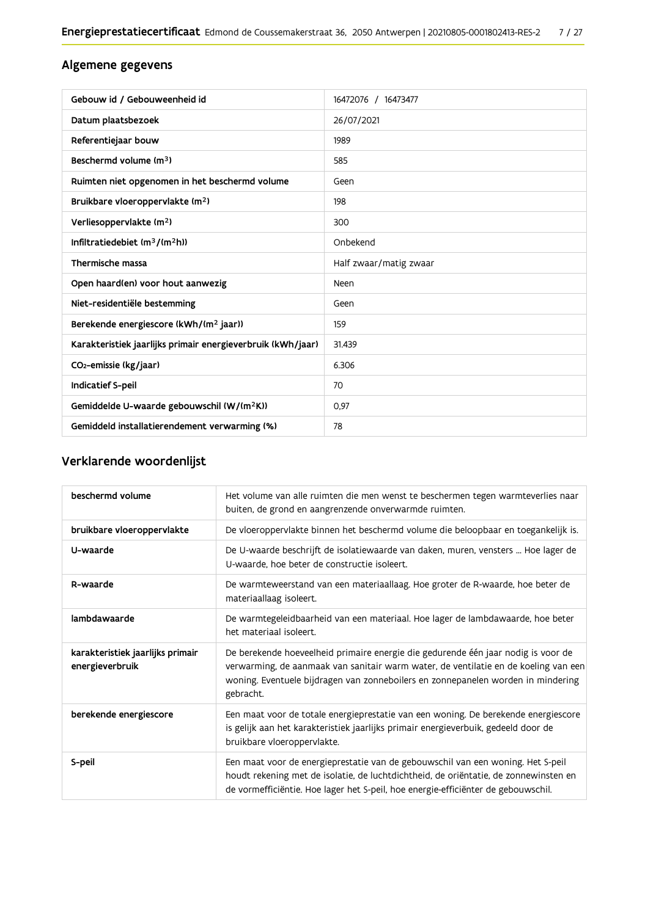# Algemene gegevens

| Gebouw id / Gebouweenheid id                                | 16472076 / 16473477    |
|-------------------------------------------------------------|------------------------|
| Datum plaatsbezoek                                          | 26/07/2021             |
| Referentiejaar bouw                                         | 1989                   |
| Beschermd volume (m <sup>3</sup> )                          | 585                    |
| Ruimten niet opgenomen in het beschermd volume              | Geen                   |
| Bruikbare vloeroppervlakte (m <sup>2</sup> )                | 198                    |
| Verliesoppervlakte (m <sup>2</sup> )                        | 300                    |
| Infiltratiedebiet $(m^3/(m^2h))$                            | Onbekend               |
| Thermische massa                                            | Half zwaar/matig zwaar |
| Open haard(en) voor hout aanwezig                           | Neen                   |
| Niet-residentiële bestemming                                | Geen                   |
| Berekende energiescore (kWh/(m <sup>2</sup> jaar))          | 159                    |
| Karakteristiek jaarlijks primair energieverbruik (kWh/jaar) | 31.439                 |
| CO <sub>2</sub> -emissie (kg/jaar)                          | 6.306                  |
| <b>Indicatief S-peil</b>                                    | 70                     |
| Gemiddelde U-waarde gebouwschil (W/(m <sup>2</sup> K))      | 0,97                   |
| Gemiddeld installatierendement verwarming (%)               | 78                     |

# Verklarende woordenlijst

| beschermd volume                                    | Het volume van alle ruimten die men wenst te beschermen tegen warmteverlies naar<br>buiten, de grond en aangrenzende onverwarmde ruimten.                                                                                                                                 |
|-----------------------------------------------------|---------------------------------------------------------------------------------------------------------------------------------------------------------------------------------------------------------------------------------------------------------------------------|
| bruikbare vloeroppervlakte                          | De vloeroppervlakte binnen het beschermd volume die beloopbaar en toegankelijk is.                                                                                                                                                                                        |
| U-waarde                                            | De U-waarde beschrijft de isolatiewaarde van daken, muren, vensters  Hoe lager de<br>U-waarde, hoe beter de constructie isoleert.                                                                                                                                         |
| R-waarde                                            | De warmteweerstand van een materiaallaag. Hoe groter de R-waarde, hoe beter de<br>materiaallaag isoleert.                                                                                                                                                                 |
| lambdawaarde                                        | De warmtegeleidbaarheid van een materiaal. Hoe lager de lambdawaarde, hoe beter<br>het materiaal isoleert.                                                                                                                                                                |
| karakteristiek jaarlijks primair<br>energieverbruik | De berekende hoeveelheid primaire energie die gedurende één jaar nodig is voor de<br>verwarming, de aanmaak van sanitair warm water, de ventilatie en de koeling van een<br>woning. Eventuele bijdragen van zonneboilers en zonnepanelen worden in mindering<br>gebracht. |
| berekende energiescore                              | Een maat voor de totale energieprestatie van een woning. De berekende energiescore<br>is gelijk aan het karakteristiek jaarlijks primair energieverbuik, gedeeld door de<br>bruikbare vloeroppervlakte.                                                                   |
| S-peil                                              | Een maat voor de energieprestatie van de gebouwschil van een woning. Het S-peil<br>houdt rekening met de isolatie, de luchtdichtheid, de oriëntatie, de zonnewinsten en<br>de vormefficiëntie. Hoe lager het S-peil, hoe energie-efficiënter de gebouwschil.              |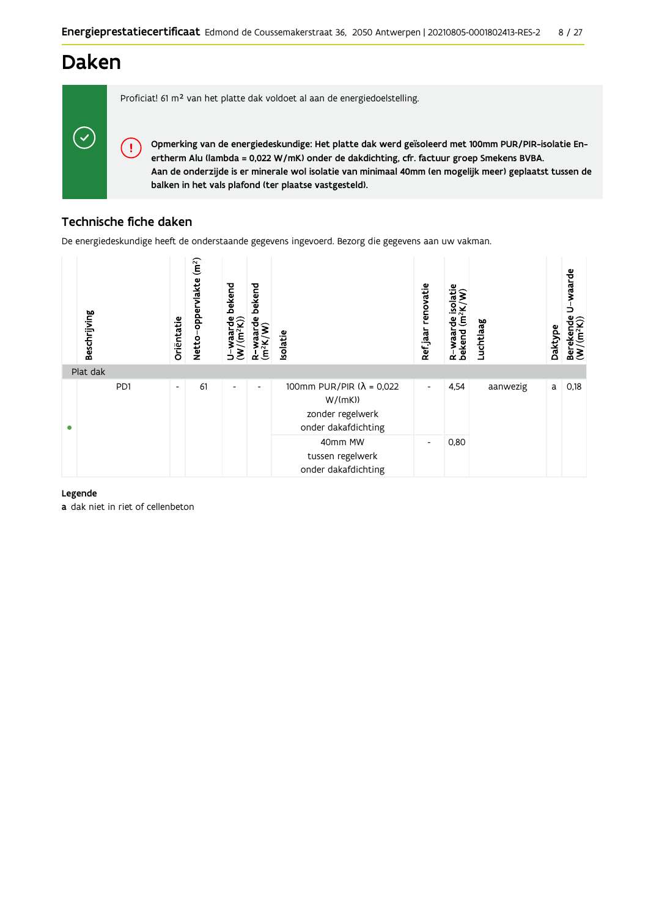# **Daken**

 $\checkmark$ 

Proficiat! 61 m<sup>2</sup> van het platte dak voldoet al aan de energiedoelstelling.

Opmerking van de energiedeskundige: Het platte dak werd geïsoleerd met 100mm PUR/PIR-isolatie Enertherm Alu (lambda = 0,022 W/mK) onder de dakdichting, cfr. factuur groep Smekens BVBA. Aan de onderzijde is er minerale wol isolatie van minimaal 40mm (en mogelijk meer) geplaatst tussen de balken in het vals plafond (ter plaatse vastgesteld).

# Technische fiche daken

Ţ

De energiedeskundige heeft de onderstaande gegevens ingevoerd. Bezorg die gegevens aan uw vakman.



## Legende

a dak niet in riet of cellenbeton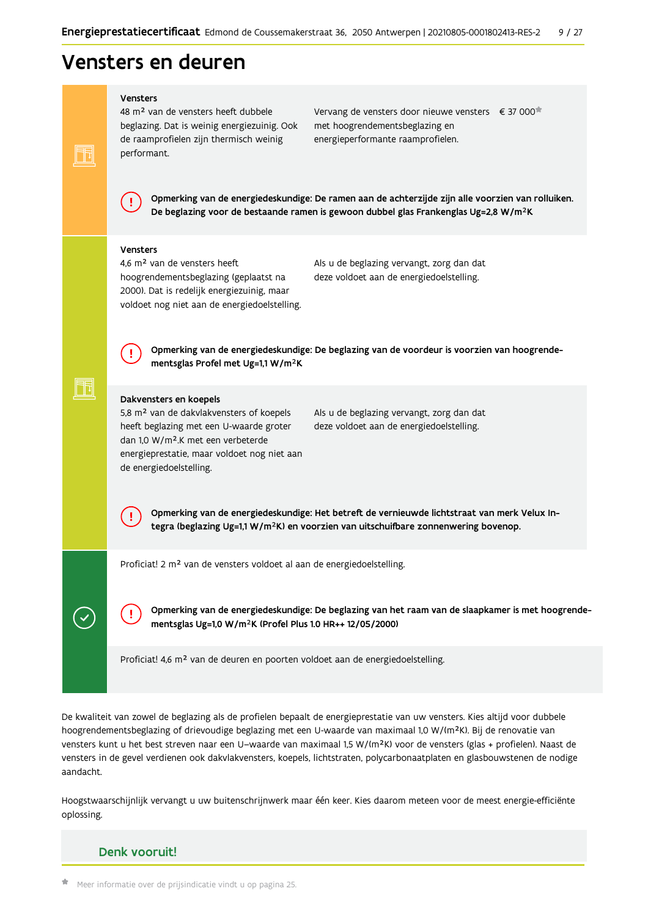# Vensters en deuren

#### Vensters

FF

╗╝

48 m<sup>2</sup> van de vensters heeft dubbele beglazing. Dat is weinig energiezuinig. Ook de raamprofielen zijn thermisch weinig performant.

Vervang de vensters door nieuwe vensters € 37 000 met hoogrendementsbeglazing en energieperformante raamprofielen.

Opmerking van de energiedeskundige: De ramen aan de achterzijde zijn alle voorzien van rolluiken. De beglazing voor de bestaande ramen is gewoon dubbel glas Frankenglas Ug=2,8 W/m<sup>2</sup>K

#### Vensters

4,6 m<sup>2</sup> van de vensters heeft hoogrendementsbeglazing (geplaatst na 2000). Dat is redelijk energiezuinig, maar voldoet nog niet aan de energiedoelstelling. Als u de beglazing vervangt, zorg dan dat deze voldoet aan de energiedoelstelling.

Opmerking van de energiedeskundige: De beglazing van de voordeur is voorzien van hoogrendementsglas Profel met Ug=1,1 W/m<sup>2</sup>K

#### Dakvensters en koepels

5,8 m<sup>2</sup> van de dakvlakvensters of koepels heeft beglazing met een U-waarde groter dan 1,0 W/m<sup>2</sup>.K met een verbeterde energieprestatie, maar voldoet nog niet aan de energiedoelstelling.

Als u de beglazing vervangt, zorg dan dat deze voldoet aan de energiedoelstelling.

Opmerking van de energiedeskundige: Het betreft de vernieuwde lichtstraat van merk Velux Integra (beglazing Ug=1,1 W/m<sup>2</sup>K) en voorzien van uitschuifbare zonnenwering bovenop.

Proficiat! 2 m<sup>2</sup> van de vensters voldoet al aan de energiedoelstelling.

Opmerking van de energiedeskundige: De beglazing van het raam van de slaapkamer is met hoogrendementsglas Ug=1,0 W/m<sup>2</sup>K (Profel Plus 1.0 HR++ 12/05/2000)

Proficiat! 4,6 m<sup>2</sup> van de deuren en poorten voldoet aan de energiedoelstelling.

De kwaliteit van zowel de beglazing als de profielen bepaalt de energieprestatie van uw vensters. Kies altijd voor dubbele hoogrendementsbeglazing of drievoudige beglazing met een U-waarde van maximaal 1,0 W/(m<sup>2</sup>K). Bij de renovatie van vensters kunt u het best streven naar een U-waarde van maximaal 1,5 W/(m<sup>2</sup>K) voor de vensters (glas + profielen). Naast de vensters in de gevel verdienen ook dakvlakvensters, koepels, lichtstraten, polycarbonaatplaten en glasbouwstenen de nodige aandacht.

Hoogstwaarschijnlijk vervangt u uw buitenschrijnwerk maar één keer. Kies daarom meteen voor de meest energie-efficiënte oplossing.

# Denk vooruit!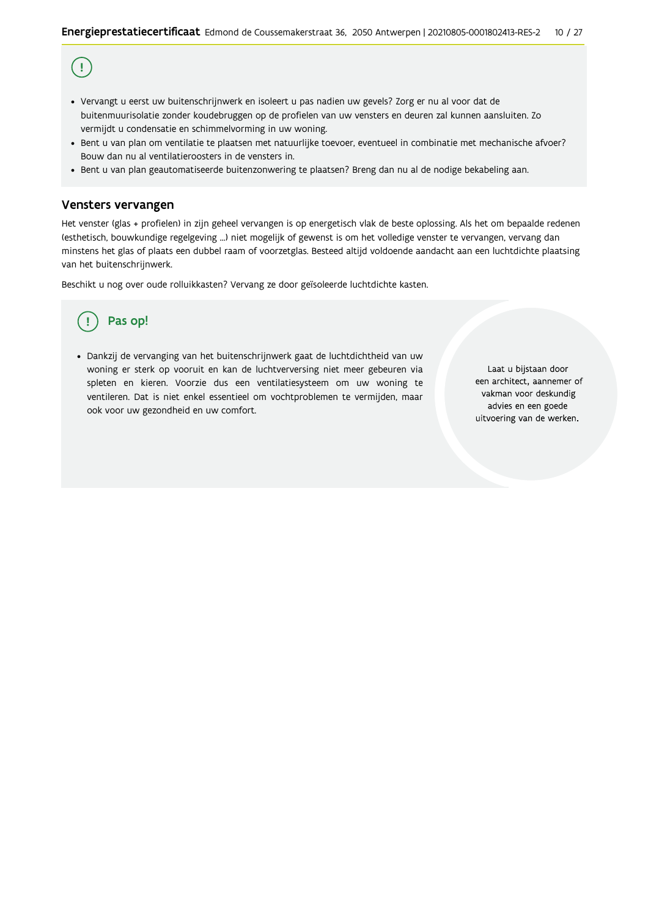# $\left( \, \cdot \right)$

- · Vervangt u eerst uw buitenschrijnwerk en isoleert u pas nadien uw gevels? Zorg er nu al voor dat de buitenmuurisolatie zonder koudebruggen op de profielen van uw vensters en deuren zal kunnen aansluiten. Zo vermijdt u condensatie en schimmelvorming in uw woning.
- Bent u van plan om ventilatie te plaatsen met natuurlijke toevoer, eventueel in combinatie met mechanische afvoer? Bouw dan nu al ventilatieroosters in de vensters in.
- · Bent u van plan geautomatiseerde buitenzonwering te plaatsen? Breng dan nu al de nodige bekabeling aan.

### Vensters vervangen

Het venster (glas + profielen) in zijn geheel vervangen is op energetisch vlak de beste oplossing. Als het om bepaalde redenen (esthetisch, bouwkundige regelgeving ...) niet mogelijk of gewenst is om het volledige venster te vervangen, vervang dan minstens het glas of plaats een dubbel raam of voorzetglas. Besteed altijd voldoende aandacht aan een luchtdichte plaatsing van het buitenschrijnwerk.

Beschikt u nog over oude rolluikkasten? Vervang ze door geïsoleerde luchtdichte kasten.

# Pas op!

· Dankzij de vervanging van het buitenschrijnwerk gaat de luchtdichtheid van uw woning er sterk op vooruit en kan de luchtverversing niet meer gebeuren via spleten en kieren. Voorzie dus een ventilatiesysteem om uw woning te ventileren. Dat is niet enkel essentieel om vochtproblemen te vermijden, maar ook voor uw gezondheid en uw comfort.

Laat u bijstaan door een architect, aannemer of vakman voor deskundig advies en een goede uitvoering van de werken.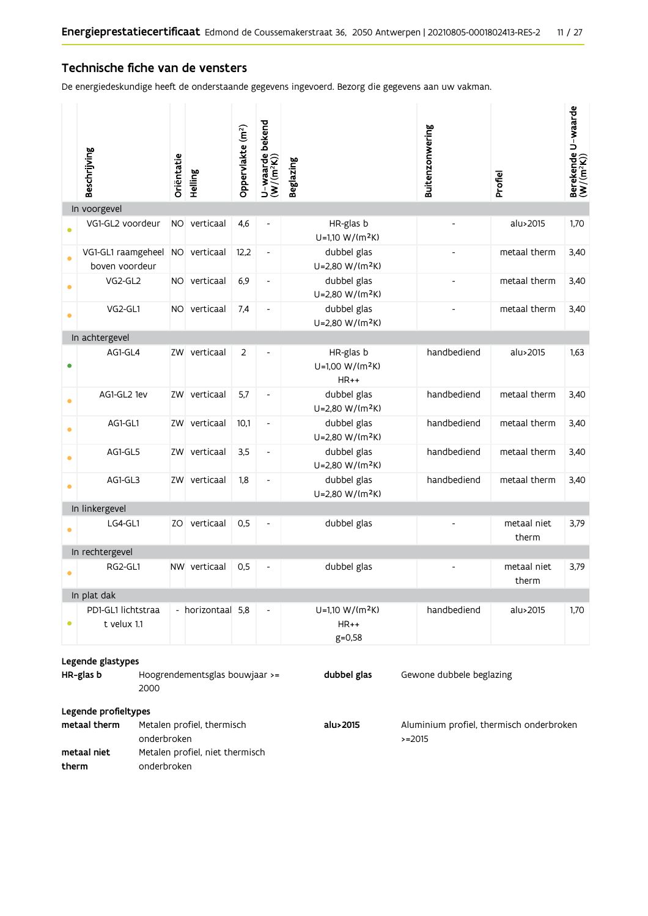# Technische fiche van de vensters

De energiedeskundige heeft de onderstaande gegevens ingevoerd. Bezorg die gegevens aan uw vakman.

|                                                                                                | Beschrijving                                                                                                                                                                                                                    | Oriëntatie | Helling           | Oppervlakte (m <sup>2</sup> ) | U-waarde bekend<br>(W/(m <sup>2</sup> K)) | <b>Beglazing</b>                                   | Buitenzonwering | Profiel              | Berekende U-waarde<br>(W/(m <sup>2</sup> K)) |
|------------------------------------------------------------------------------------------------|---------------------------------------------------------------------------------------------------------------------------------------------------------------------------------------------------------------------------------|------------|-------------------|-------------------------------|-------------------------------------------|----------------------------------------------------|-----------------|----------------------|----------------------------------------------|
|                                                                                                | In voorgevel                                                                                                                                                                                                                    |            |                   |                               |                                           |                                                    |                 |                      |                                              |
|                                                                                                | VG1-GL2 voordeur                                                                                                                                                                                                                |            | NO verticaal      | 4,6                           | $\overline{\phantom{0}}$                  | HR-glas b<br>U=1,10 W/(m <sup>2</sup> K)           |                 | alu>2015             | 1,70                                         |
| $\bullet$                                                                                      | VG1-GL1 raamgeheel<br>boven voordeur                                                                                                                                                                                            |            | NO verticaal      | 12,2                          | $\blacksquare$                            | dubbel glas<br>U=2,80 W/(m <sup>2</sup> K)         |                 | metaal therm         | 3,40                                         |
| $\bullet$                                                                                      | VG2-GL2                                                                                                                                                                                                                         |            | NO verticaal      | 6,9                           | $\qquad \qquad \blacksquare$              | dubbel glas<br>U=2,80 W/(m <sup>2</sup> K)         |                 | metaal therm         | 3,40                                         |
|                                                                                                | VG2-GL1                                                                                                                                                                                                                         |            | NO verticaal      | 7,4                           | $\overline{\phantom{a}}$                  | dubbel glas<br>U=2,80 W/(m <sup>2</sup> K)         | $\overline{a}$  | metaal therm         | 3,40                                         |
|                                                                                                | In achtergevel                                                                                                                                                                                                                  |            |                   |                               |                                           |                                                    |                 |                      |                                              |
|                                                                                                | AG1-GL4                                                                                                                                                                                                                         |            | ZW verticaal      | 2                             |                                           | HR-glas b<br>U=1,00 W/(m <sup>2</sup> K)<br>$HR++$ | handbediend     | alu>2015             | 1,63                                         |
|                                                                                                | AG1-GL2 1ev                                                                                                                                                                                                                     |            | ZW verticaal      | 5,7                           | $\qquad \qquad \blacksquare$              | dubbel glas<br>U=2,80 W/(m <sup>2</sup> K)         | handbediend     | metaal therm         | 3,40                                         |
| $\bullet$                                                                                      | AG1-GL1                                                                                                                                                                                                                         |            | ZW verticaal      | 10,1                          | $\qquad \qquad \blacksquare$              | dubbel glas<br>U=2,80 W/(m <sup>2</sup> K)         | handbediend     | metaal therm         | 3,40                                         |
| $\bullet$                                                                                      | AG1-GL5                                                                                                                                                                                                                         |            | ZW verticaal      | 3,5                           | $\qquad \qquad \blacksquare$              | dubbel glas<br>U=2,80 W/(m <sup>2</sup> K)         | handbediend     | metaal therm         | 3,40                                         |
|                                                                                                | AG1-GL3                                                                                                                                                                                                                         |            | ZW verticaal      | 1,8                           | $\qquad \qquad \blacksquare$              | dubbel glas<br>U=2,80 W/(m <sup>2</sup> K)         | handbediend     | metaal therm         | 3,40                                         |
|                                                                                                | In linkergevel                                                                                                                                                                                                                  |            |                   |                               |                                           |                                                    |                 |                      |                                              |
|                                                                                                | LG4-GL1                                                                                                                                                                                                                         |            | ZO verticaal      | 0,5                           | $\overline{\phantom{0}}$                  | dubbel glas                                        |                 | metaal niet<br>therm | 3,79                                         |
|                                                                                                | In rechtergevel                                                                                                                                                                                                                 |            |                   |                               |                                           |                                                    |                 |                      |                                              |
|                                                                                                | RG2-GL1                                                                                                                                                                                                                         |            | NW verticaal      | 0,5                           |                                           | dubbel glas                                        |                 | metaal niet<br>therm | 3,79                                         |
|                                                                                                | In plat dak                                                                                                                                                                                                                     |            |                   |                               |                                           |                                                    |                 |                      |                                              |
| $\bullet$                                                                                      | PD1-GL1 lichtstraa<br>t velux 1.1                                                                                                                                                                                               |            | - horizontaal 5,8 |                               | $\overline{\phantom{0}}$                  | $U=1,10 W/(m^2K)$<br>$HR++$<br>$g = 0,58$          | handbediend     | alu>2015             | 1,70                                         |
|                                                                                                | Legende glastypes                                                                                                                                                                                                               |            |                   |                               |                                           |                                                    |                 |                      |                                              |
| HR-glas b<br>dubbel glas<br>Hoogrendementsglas bouwjaar >=<br>Gewone dubbele beglazing<br>2000 |                                                                                                                                                                                                                                 |            |                   |                               |                                           |                                                    |                 |                      |                                              |
|                                                                                                |                                                                                                                                                                                                                                 |            |                   |                               |                                           |                                                    |                 |                      |                                              |
|                                                                                                | Legende profieltypes<br>metaal therm<br>Metalen profiel, thermisch<br>alu>2015<br>Aluminium profiel, thermisch onderbroken<br>onderbroken<br>$>=2015$<br>Metalen profiel, niet thermisch<br>metaal niet<br>onderbroken<br>therm |            |                   |                               |                                           |                                                    |                 |                      |                                              |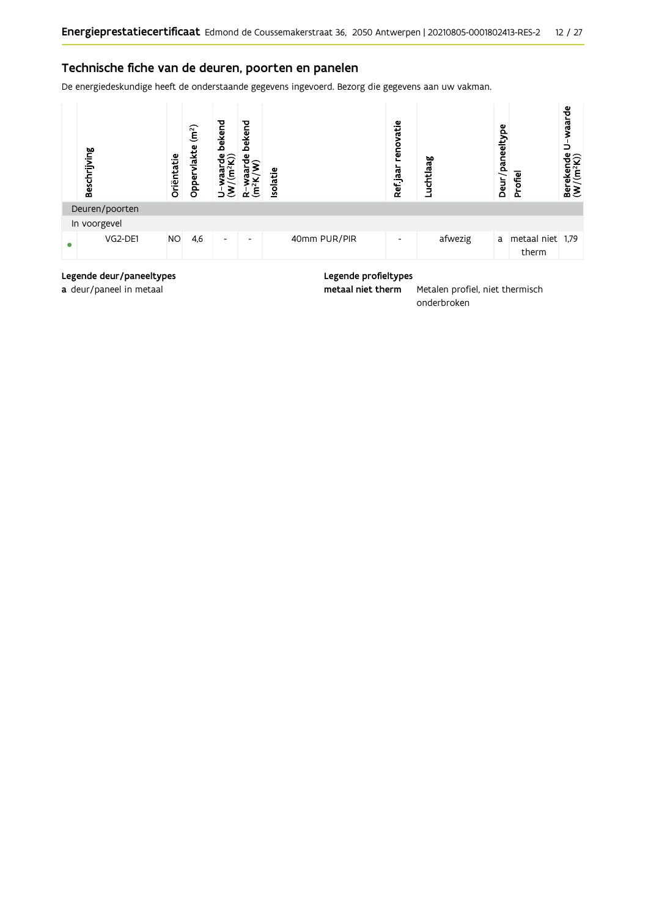# Technische fiche van de deuren, poorten en panelen

De energiedeskundige heeft de onderstaande gegevens ingevoerd. Bezorg die gegevens aan uw vakman.



# Legende deur/paneeltypes a deur/paneel in metaal

### Legende profieltypes

metaal niet therm Metalen profiel, niet thermisch onderbroken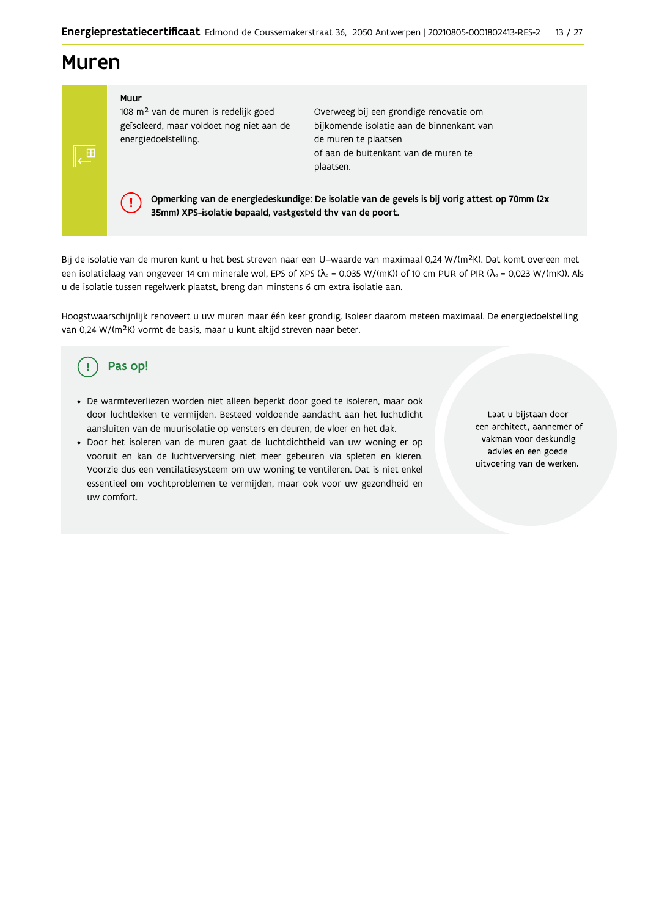# **Muren**

 $\sqrt{\mathbf{H}}$ 

Muur

J.

108 m<sup>2</sup> van de muren is redelijk goed geïsoleerd, maar voldoet nog niet aan de energiedoelstelling.

Overweeg bij een grondige renovatie om bijkomende isolatie aan de binnenkant van de muren te plaatsen of aan de buitenkant van de muren te plaatsen.

Opmerking van de energiedeskundige: De isolatie van de gevels is bij vorig attest op 70mm (2x 35mm) XPS-isolatie bepaald, vastgesteld thv van de poort.

Bij de isolatie van de muren kunt u het best streven naar een U-waarde van maximaal 0,24 W/(m<sup>2</sup>K). Dat komt overeen met een isolatielaag van ongeveer 14 cm minerale wol, EPS of XPS ( $\lambda_a$  = 0,035 W/(mK)) of 10 cm PUR of PIR ( $\lambda_a$  = 0,023 W/(mK)). Als u de isolatie tussen regelwerk plaatst, breng dan minstens 6 cm extra isolatie aan.

Hoogstwaarschijnlijk renoveert u uw muren maar één keer grondig. Isoleer daarom meteen maximaal. De energiedoelstelling van 0,24 W/(m<sup>2</sup>K) vormt de basis, maar u kunt altijd streven naar beter.

# Pas op!

- · De warmteverliezen worden niet alleen beperkt door goed te isoleren, maar ook door luchtlekken te vermijden. Besteed voldoende aandacht aan het luchtdicht aansluiten van de muurisolatie op vensters en deuren, de vloer en het dak.
- · Door het isoleren van de muren gaat de luchtdichtheid van uw woning er op vooruit en kan de luchtverversing niet meer gebeuren via spleten en kieren. Voorzie dus een ventilatiesysteem om uw woning te ventileren. Dat is niet enkel essentieel om vochtproblemen te vermijden, maar ook voor uw gezondheid en uw comfort.

Laat u bijstaan door een architect, aannemer of vakman voor deskundig advies en een goede uitvoering van de werken.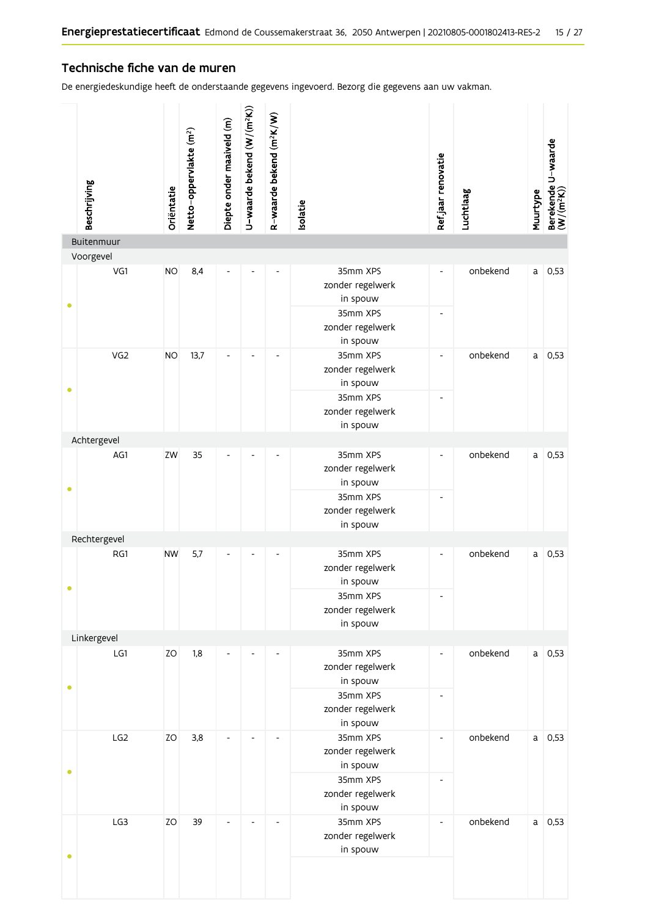# Technische fiche van de muren

De energiedeskundige heeft de onderstaande gegevens ingevoerd. Bezorg die gegevens aan uw vakman.

|           | Beschrijving    | Oriëntatie | Netto-oppervlakte (m <sup>2</sup> ) | Diepte onder maaiveld (m) | U-waarde bekend (W/(m <sup>2</sup> K)) | R-waarde bekend (m <sup>2</sup> K/W) | Isolatie                                 | Ref.jaar renovatie       | Luchtlaag | Muurtype | Berekende U-waarde<br>(W/(m <sup>2</sup> K)) |  |  |                                          |                          |  |  |
|-----------|-----------------|------------|-------------------------------------|---------------------------|----------------------------------------|--------------------------------------|------------------------------------------|--------------------------|-----------|----------|----------------------------------------------|--|--|------------------------------------------|--------------------------|--|--|
|           | Buitenmuur      |            |                                     |                           |                                        |                                      |                                          |                          |           |          |                                              |  |  |                                          |                          |  |  |
|           | Voorgevel       |            |                                     |                           |                                        |                                      |                                          |                          |           |          |                                              |  |  |                                          |                          |  |  |
| ۰         | VG1             | <b>NO</b>  | 8,4                                 |                           |                                        |                                      | 35mm XPS<br>zonder regelwerk<br>in spouw | $\overline{\phantom{0}}$ | onbekend  | a        | 0,53                                         |  |  |                                          |                          |  |  |
|           |                 |            |                                     |                           |                                        |                                      | 35mm XPS<br>zonder regelwerk<br>in spouw | $\overline{\phantom{a}}$ |           |          |                                              |  |  |                                          |                          |  |  |
| ٠         | VG <sub>2</sub> | <b>NO</b>  | 13,7                                | $\overline{\phantom{a}}$  | $\overline{\phantom{a}}$               | $\overline{\phantom{0}}$             | 35mm XPS<br>zonder regelwerk<br>in spouw | $\overline{\phantom{a}}$ | onbekend  | a        | 0,53                                         |  |  |                                          |                          |  |  |
|           |                 |            |                                     |                           |                                        |                                      | 35mm XPS<br>zonder regelwerk<br>in spouw | $\overline{a}$           |           |          |                                              |  |  |                                          |                          |  |  |
|           | Achtergevel     |            |                                     |                           |                                        |                                      |                                          |                          |           |          |                                              |  |  |                                          |                          |  |  |
| $\bullet$ | AG1             | ZW         | 35                                  |                           |                                        |                                      | 35mm XPS<br>zonder regelwerk<br>in spouw | $\overline{\phantom{0}}$ | onbekend  | a        | 0,53                                         |  |  |                                          |                          |  |  |
|           |                 |            |                                     |                           |                                        |                                      |                                          |                          |           |          |                                              |  |  | 35mm XPS<br>zonder regelwerk<br>in spouw | $\overline{\phantom{a}}$ |  |  |
|           | Rechtergevel    |            |                                     |                           |                                        |                                      |                                          |                          |           |          |                                              |  |  |                                          |                          |  |  |
| $\bullet$ | RG1             | <b>NW</b>  | 5,7                                 |                           |                                        |                                      | 35mm XPS<br>zonder regelwerk<br>in spouw | $\overline{a}$           | onbekend  | a        | 0,53                                         |  |  |                                          |                          |  |  |
|           |                 |            |                                     |                           |                                        |                                      | 35mm XPS<br>zonder regelwerk<br>in spouw |                          |           |          |                                              |  |  |                                          |                          |  |  |
|           | Linkergevel     |            |                                     |                           |                                        |                                      |                                          |                          |           |          |                                              |  |  |                                          |                          |  |  |
| $\bullet$ | LG1             | ZO         | 1,8                                 |                           |                                        |                                      | 35mm XPS<br>zonder regelwerk<br>in spouw | $\overline{\phantom{a}}$ | onbekend  |          | $a$ 0,53                                     |  |  |                                          |                          |  |  |
|           |                 |            |                                     |                           |                                        |                                      | 35mm XPS<br>zonder regelwerk<br>in spouw | $\overline{\phantom{a}}$ |           |          |                                              |  |  |                                          |                          |  |  |
|           | LG <sub>2</sub> | ZO         | 3,8                                 |                           |                                        | $\overline{\phantom{0}}$             | 35mm XPS<br>zonder regelwerk<br>in spouw | $\overline{\phantom{a}}$ | onbekend  | a        | 0,53                                         |  |  |                                          |                          |  |  |
| ٠         |                 |            |                                     |                           |                                        |                                      | 35mm XPS<br>zonder regelwerk<br>in spouw | $\overline{\phantom{a}}$ |           |          |                                              |  |  |                                          |                          |  |  |
|           | LG3             | <b>ZO</b>  | 39                                  |                           |                                        |                                      | 35mm XPS<br>zonder regelwerk<br>in spouw | $\overline{\phantom{a}}$ | onbekend  | a        | 0,53                                         |  |  |                                          |                          |  |  |
|           |                 |            |                                     |                           |                                        |                                      |                                          |                          |           |          |                                              |  |  |                                          |                          |  |  |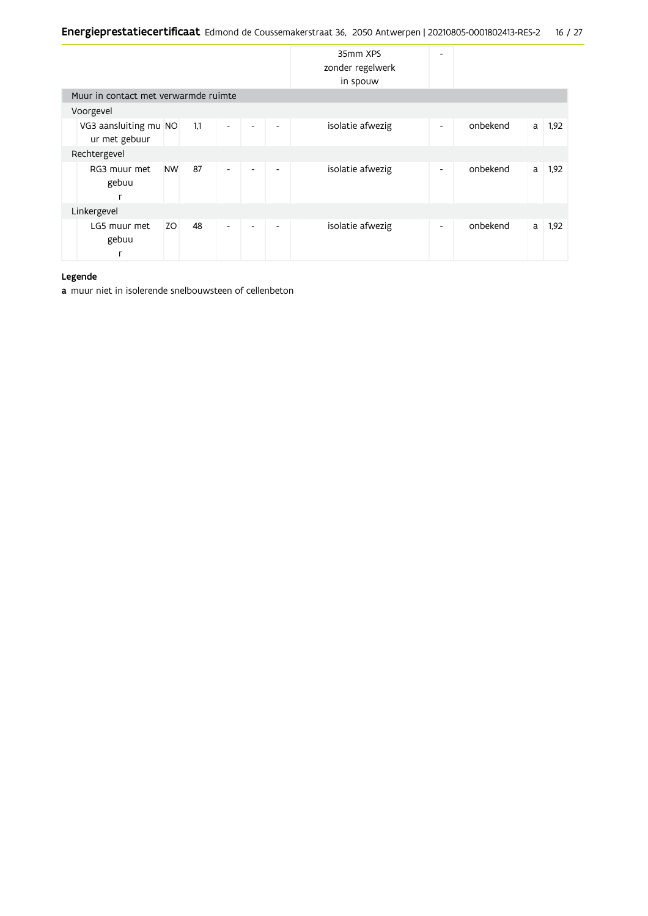|                                        |           |     |                          |                          |                          | 35mm XPS<br>zonder regelwerk<br>in spouw | ٠                        |          |   |      |
|----------------------------------------|-----------|-----|--------------------------|--------------------------|--------------------------|------------------------------------------|--------------------------|----------|---|------|
| Muur in contact met verwarmde ruimte   |           |     |                          |                          |                          |                                          |                          |          |   |      |
| Voorgevel                              |           |     |                          |                          |                          |                                          |                          |          |   |      |
| VG3 aansluiting mu NO<br>ur met gebuur |           | 1,1 | $\overline{\phantom{a}}$ | $\overline{\phantom{a}}$ | $\overline{\phantom{a}}$ | isolatie afwezig                         | $\overline{\phantom{a}}$ | onbekend | a | 1,92 |
| Rechtergevel                           |           |     |                          |                          |                          |                                          |                          |          |   |      |
| RG3 muur met<br>gebuu<br>r             | <b>NW</b> | 87  | $\overline{\phantom{a}}$ | $\overline{\phantom{a}}$ | ٠                        | isolatie afwezig                         | ٠                        | onbekend | a | 1,92 |
| Linkergevel                            |           |     |                          |                          |                          |                                          |                          |          |   |      |
| LG5 muur met<br>gebuu<br>r             | ZO        | 48  | $\overline{\phantom{a}}$ | $\overline{\phantom{a}}$ | ٠                        | isolatie afwezig                         | ٠                        | onbekend | a | 1,92 |

### Legende

a muur niet in isolerende snelbouwsteen of cellenbeton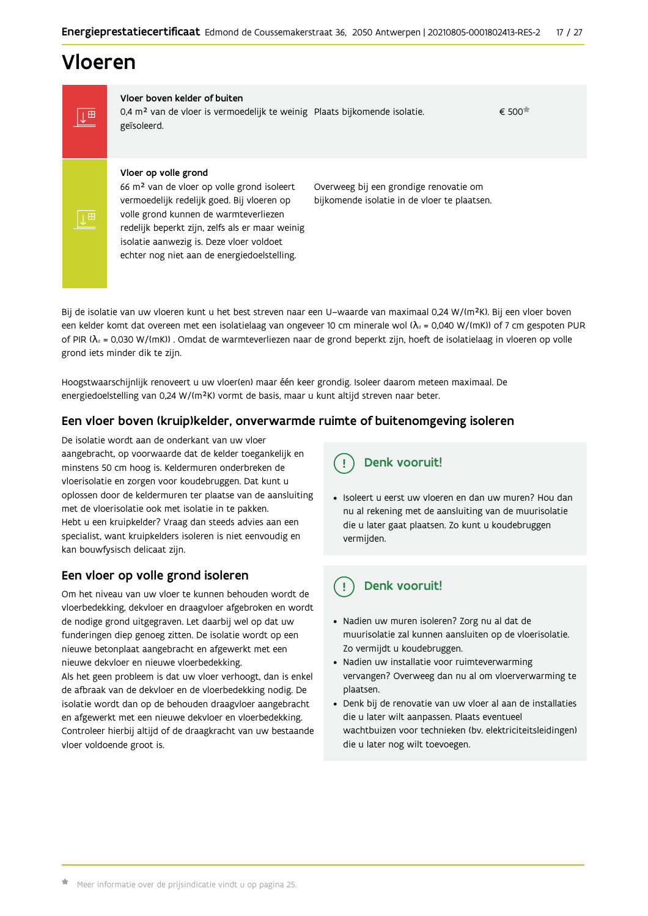# Vloeren

IT

|⊥⊞

Vloer boven kelder of buiten 0,4 m<sup>2</sup> van de vloer is vermoedelijk te weinig Plaats bijkomende isolatie. geïsoleerd.

€ 500

### Vloer op volle grond

66 m<sup>2</sup> van de vloer op volle grond isoleert vermoedelijk redelijk goed. Bij vloeren op volle grond kunnen de warmteverliezen redelijk beperkt zijn, zelfs als er maar weinig isolatie aanwezig is. Deze vloer voldoet echter nog niet aan de energiedoelstelling.

Overweeg bij een grondige renovatie om bijkomende isolatie in de vloer te plaatsen.

Bij de isolatie van uw vloeren kunt u het best streven naar een U-waarde van maximaal 0,24 W/(m<sup>2</sup>K). Bij een vloer boven een kelder komt dat overeen met een isolatielaag van ongeveer 10 cm minerale wol ( $\lambda_d$  = 0,040 W/(mK)) of 7 cm gespoten PUR of PIR ( $\lambda_0$  = 0,030 W/(mK)). Omdat de warmteverliezen naar de grond beperkt zijn, hoeft de isolatielaag in vloeren op volle grond iets minder dik te zijn.

Hoogstwaarschijnlijk renoveert u uw vloer(en) maar één keer grondig. Isoleer daarom meteen maximaal. De energiedoelstelling van 0,24 W/(m<sup>2</sup>K) vormt de basis, maar u kunt altijd streven naar beter.

# Een vloer boven (kruip)kelder, onverwarmde ruimte of buitenomgeving isoleren

De isolatie wordt aan de onderkant van uw vloer aangebracht, op voorwaarde dat de kelder toegankelijk en minstens 50 cm hoog is. Keldermuren onderbreken de vloerisolatie en zorgen voor koudebruggen. Dat kunt u oplossen door de keldermuren ter plaatse van de aansluiting met de vloerisolatie ook met isolatie in te pakken. Hebt u een kruipkelder? Vraag dan steeds advies aan een specialist, want kruipkelders isoleren is niet eenvoudig en kan bouwfysisch delicaat zijn.

# Een vloer op volle grond isoleren

Om het niveau van uw vloer te kunnen behouden wordt de vloerbedekking, dekvloer en draagvloer afgebroken en wordt de nodige grond uitgegraven. Let daarbij wel op dat uw funderingen diep genoeg zitten. De isolatie wordt op een nieuwe betonplaat aangebracht en afgewerkt met een nieuwe dekvloer en nieuwe vloerbedekking.

Als het geen probleem is dat uw vloer verhoogt, dan is enkel de afbraak van de dekvloer en de vloerbedekking nodig. De isolatie wordt dan op de behouden draagvloer aangebracht en afgewerkt met een nieuwe dekvloer en vloerbedekking. Controleer hierbij altijd of de draagkracht van uw bestaande vloer voldoende groot is.

Denk vooruit!

· Isoleert u eerst uw vloeren en dan uw muren? Hou dan nu al rekening met de aansluiting van de muurisolatie die u later gaat plaatsen. Zo kunt u koudebruggen vermijden.

#### Denk vooruit! ្ម

- · Nadien uw muren isoleren? Zorg nu al dat de muurisolatie zal kunnen aansluiten op de vloerisolatie. Zo vermijdt u koudebruggen.
- Nadien uw installatie voor ruimteverwarming vervangen? Overweeg dan nu al om vloerverwarming te plaatsen.
- · Denk bij de renovatie van uw vloer al aan de installaties die u later wilt aanpassen. Plaats eventueel wachtbuizen voor technieken (bv. elektriciteitsleidingen) die u later nog wilt toevoegen.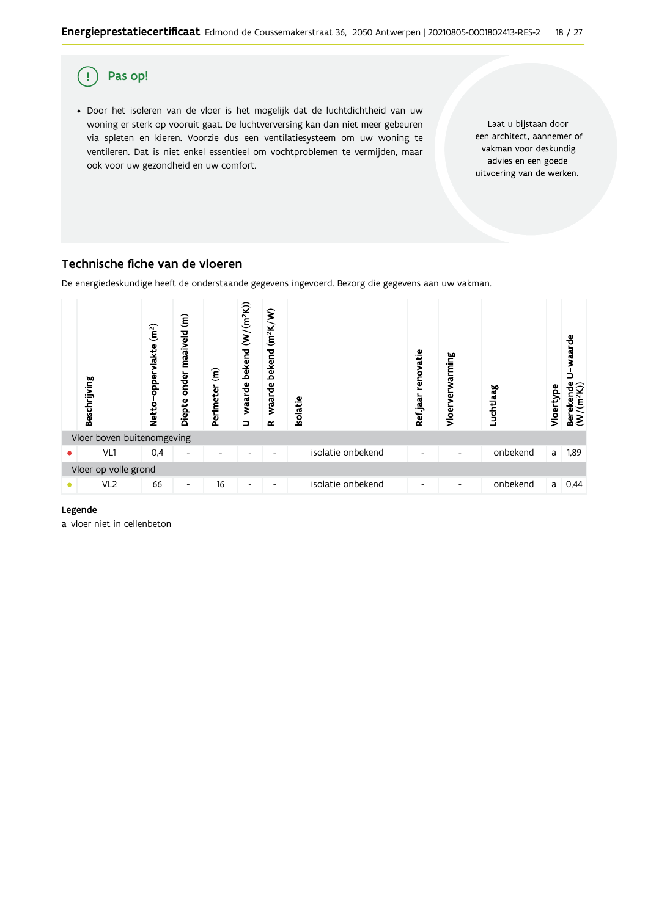

# Technische fiche van de vloeren

De energiedeskundige heeft de onderstaande gegevens ingevoerd. Bezorg die gegevens aan uw vakman.



### Legende

a vloer niet in cellenbeton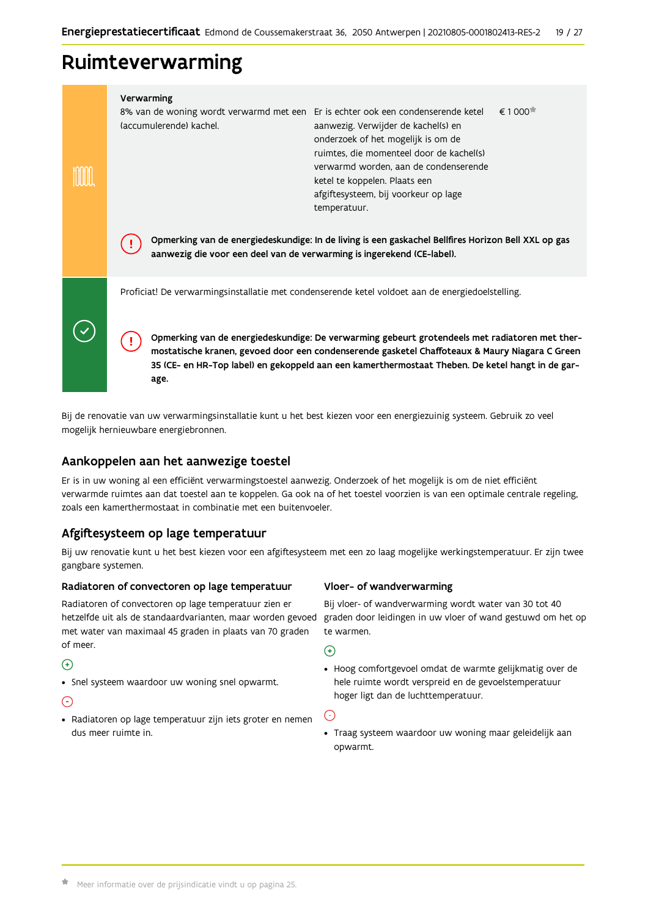# Ruimteverwarming

| Verwarming<br>8% van de woning wordt verwarmd met een Er is echter ook een condenserende ketel<br>(accumulerende) kachel. | aanwezig. Verwijder de kachel(s) en<br>onderzoek of het mogelijk is om de<br>ruimtes, die momenteel door de kachel(s)<br>verwarmd worden, aan de condenserende<br>ketel te koppelen. Plaats een<br>afgiftesysteem, bij voorkeur op lage<br>temperatuur.                                              | $\epsilon$ 1 000 $\pi$ |
|---------------------------------------------------------------------------------------------------------------------------|------------------------------------------------------------------------------------------------------------------------------------------------------------------------------------------------------------------------------------------------------------------------------------------------------|------------------------|
| aanwezig die voor een deel van de verwarming is ingerekend (CE-label).                                                    | Opmerking van de energiedeskundige: In de living is een gaskachel Bellfires Horizon Bell XXL op gas                                                                                                                                                                                                  |                        |
| Proficiat! De verwarmingsinstallatie met condenserende ketel voldoet aan de energiedoelstelling.                          |                                                                                                                                                                                                                                                                                                      |                        |
| age.                                                                                                                      | Opmerking van de energiedeskundige: De verwarming gebeurt grotendeels met radiatoren met ther-<br>mostatische kranen, gevoed door een condenserende gasketel Chaffoteaux & Maury Niagara C Green<br>35 (CE- en HR-Top label) en gekoppeld aan een kamerthermostaat Theben. De ketel hangt in de gar- |                        |

Bij de renovatie van uw verwarmingsinstallatie kunt u het best kiezen voor een energiezuinig systeem. Gebruik zo veel mogelijk hernieuwbare energiebronnen.

# Aankoppelen aan het aanwezige toestel

Er is in uw woning al een efficiënt verwarmingstoestel aanwezig. Onderzoek of het mogelijk is om de niet efficiënt verwarmde ruimtes aan dat toestel aan te koppelen. Ga ook na of het toestel voorzien is van een optimale centrale regeling, zoals een kamerthermostaat in combinatie met een buitenvoeler.

# Afgiftesysteem op lage temperatuur

Bij uw renovatie kunt u het best kiezen voor een afgiftesysteem met een zo laag mogelijke werkingstemperatuur. Er zijn twee gangbare systemen.

#### Radiatoren of convectoren op lage temperatuur

Radiatoren of convectoren op lage temperatuur zien er hetzelfde uit als de standaardvarianten, maar worden gevoed met water van maximaal 45 graden in plaats van 70 graden of meer.

# $\bigodot$

• Snel systeem waardoor uw woning snel opwarmt.

# ⊙

· Radiatoren op lage temperatuur zijn iets groter en nemen dus meer ruimte in.

### Vloer- of wandverwarming

Bij vloer- of wandverwarming wordt water van 30 tot 40 graden door leidingen in uw vloer of wand gestuwd om het op te warmen.

 $\bigodot$ 

· Hoog comfortgevoel omdat de warmte gelijkmatig over de hele ruimte wordt verspreid en de gevoelstemperatuur hoger ligt dan de luchttemperatuur.

G

• Traag systeem waardoor uw woning maar geleidelijk aan opwarmt.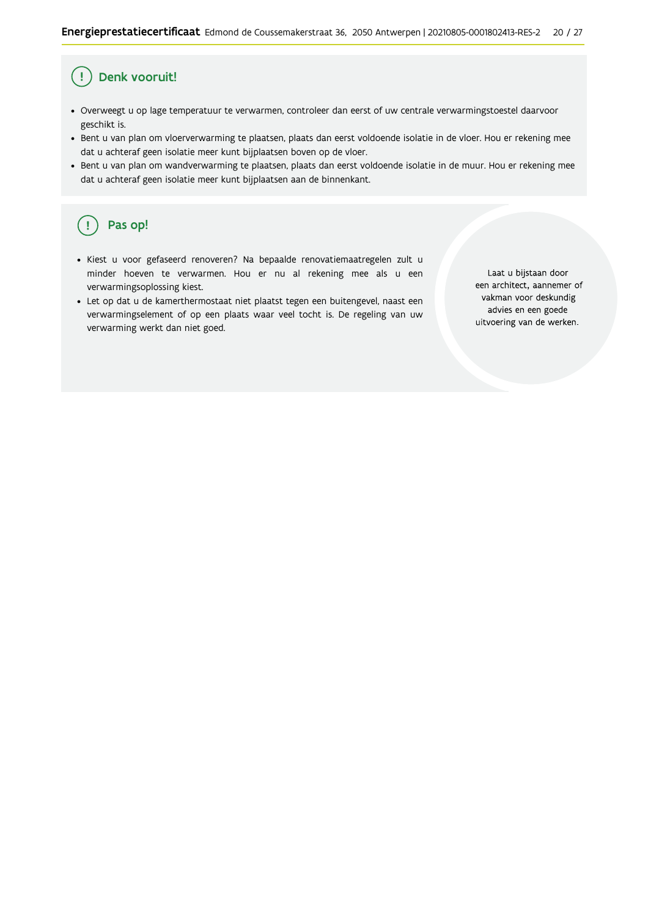#### Ţ Denk vooruit!

- · Overweegt u op lage temperatuur te verwarmen, controleer dan eerst of uw centrale verwarmingstoestel daarvoor geschikt is.
- Bent u van plan om vloerverwarming te plaatsen, plaats dan eerst voldoende isolatie in de vloer. Hou er rekening mee dat u achteraf geen isolatie meer kunt bijplaatsen boven op de vloer.
- · Bent u van plan om wandverwarming te plaatsen, plaats dan eerst voldoende isolatie in de muur. Hou er rekening mee dat u achteraf geen isolatie meer kunt bijplaatsen aan de binnenkant.

#### ้ <u>เ</u> Pas op!

- · Kiest u voor gefaseerd renoveren? Na bepaalde renovatiemaatregelen zult u minder hoeven te verwarmen. Hou er nu al rekening mee als u een verwarmingsoplossing kiest.
- · Let op dat u de kamerthermostaat niet plaatst tegen een buitengevel, naast een verwarmingselement of op een plaats waar veel tocht is. De regeling van uw verwarming werkt dan niet goed.

Laat u bijstaan door een architect, aannemer of vakman voor deskundig advies en een goede uitvoering van de werken.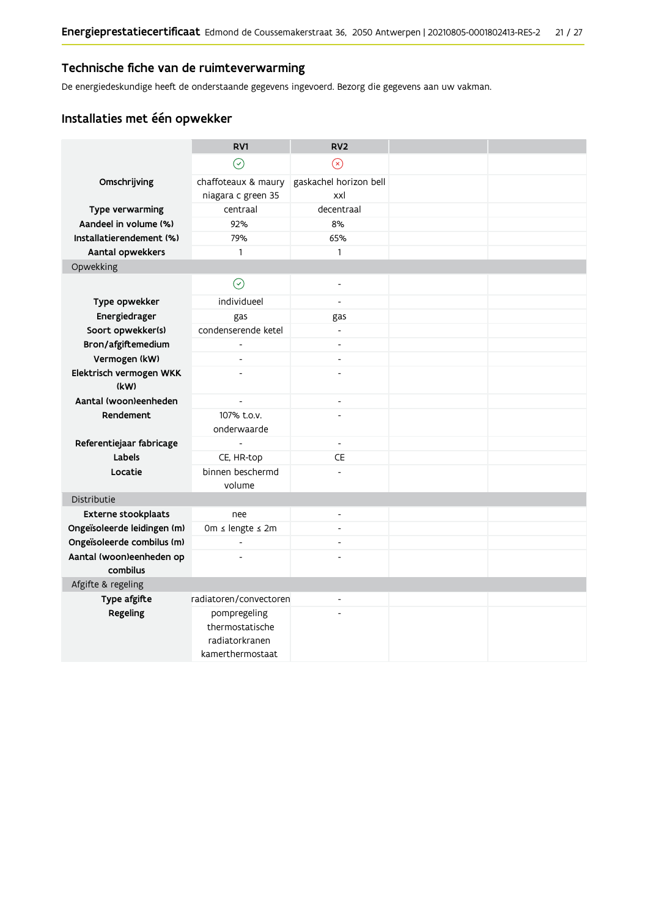# Technische fiche van de ruimteverwarming

De energiedeskundige heeft de onderstaande gegevens ingevoerd. Bezorg die gegevens aan uw vakman.

# Installaties met één opwekker

|                                    | RV1                            | RV <sub>2</sub>          |  |
|------------------------------------|--------------------------------|--------------------------|--|
|                                    | $\odot$                        | $\circledR$              |  |
| Omschrijving                       | chaffoteaux & maury            | gaskachel horizon bell   |  |
|                                    | niagara c green 35             | xxl                      |  |
| Type verwarming                    | centraal                       | decentraal               |  |
| Aandeel in volume (%)              | 92%                            | 8%                       |  |
| Installatierendement (%)           | 79%                            | 65%                      |  |
| Aantal opwekkers                   | 1                              | $\mathbf{1}$             |  |
| Opwekking                          |                                |                          |  |
|                                    | $\odot$                        | $\overline{a}$           |  |
| Type opwekker                      | individueel                    | $\overline{\phantom{a}}$ |  |
| Energiedrager                      | gas                            | gas                      |  |
| Soort opwekker(s)                  | condenserende ketel            | $\overline{\phantom{a}}$ |  |
| Bron/afgiftemedium                 | $\overline{a}$                 | $\overline{\phantom{a}}$ |  |
| Vermogen (kW)                      | $\overline{\phantom{a}}$       | $\overline{\phantom{a}}$ |  |
| Elektrisch vermogen WKK            |                                | $\overline{a}$           |  |
| (kW)                               |                                |                          |  |
| Aantal (woon)eenheden              | $\overline{a}$                 | $\overline{\phantom{a}}$ |  |
| Rendement                          | 107% t.o.v.                    | $\overline{a}$           |  |
|                                    | onderwaarde<br>$\overline{a}$  | $\blacksquare$           |  |
| Referentiejaar fabricage<br>Labels |                                | CE                       |  |
|                                    | CE, HR-top<br>binnen beschermd |                          |  |
| Locatie                            | volume                         |                          |  |
| Distributie                        |                                |                          |  |
| Externe stookplaats                | nee                            | L,                       |  |
| Ongeïsoleerde leidingen (m)        | 0m ≤ lengte ≤ 2m               |                          |  |
| Ongeïsoleerde combilus (m)         | $\overline{\phantom{a}}$       | $\overline{a}$           |  |
| Aantal (woon)eenheden op           | ÷.                             |                          |  |
| combilus                           |                                |                          |  |
| Afgifte & regeling                 |                                |                          |  |
| Type afgifte                       | radiatoren/convectoren         | $\overline{\phantom{0}}$ |  |
| Regeling                           | pompregeling                   |                          |  |
|                                    | thermostatische                |                          |  |
|                                    | radiatorkranen                 |                          |  |
|                                    | kamerthermostaat               |                          |  |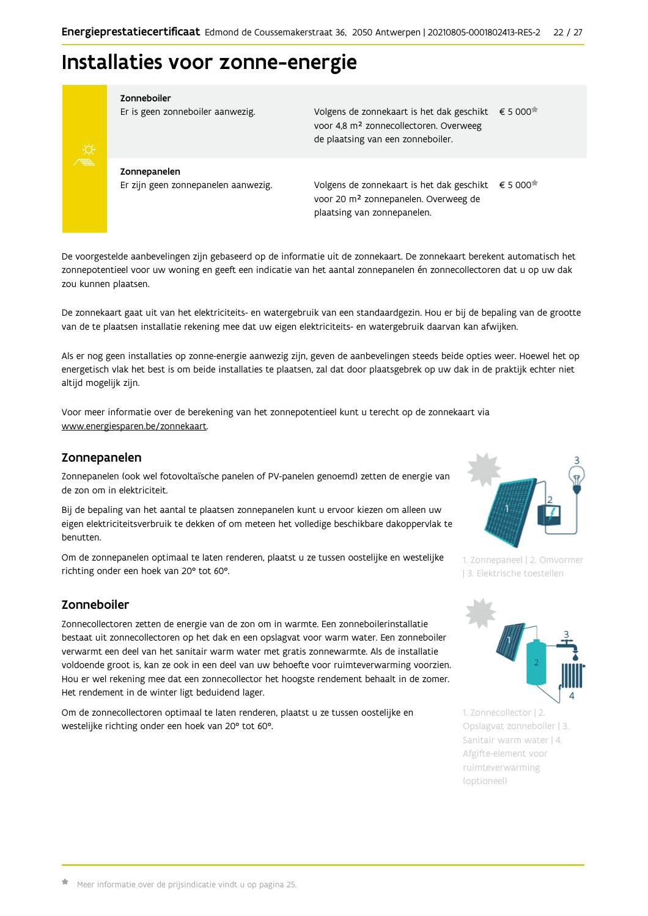# Installaties voor zonne-energie



Zonneboiler

Er is geen zonneboiler aanwezig.

Volgens de zonnekaart is het dak geschikt € 5 000 voor 4,8 m<sup>2</sup> zonnecollectoren. Overweeg de plaatsing van een zonneboiler.

Zonnepanelen Er zijn geen zonnepanelen aanwezig.

Volgens de zonnekaart is het dak geschikt  $\epsilon$  5 000<sup> $\star$ </sup> voor 20 m<sup>2</sup> zonnepanelen. Overweeg de plaatsing van zonnepanelen.

De voorgestelde aanbevelingen zijn gebaseerd op de informatie uit de zonnekaart. De zonnekaart berekent automatisch het zonnepotentieel voor uw woning en geeft een indicatie van het aantal zonnepanelen én zonnecollectoren dat u op uw dak zou kunnen plaatsen.

De zonnekaart gaat uit van het elektriciteits- en watergebruik van een standaardgezin. Hou er bij de bepaling van de grootte van de te plaatsen installatie rekening mee dat uw eigen elektriciteits- en watergebruik daarvan kan afwijken.

Als er nog geen installaties op zonne-energie aanwezig zijn, geven de aanbevelingen steeds beide opties weer. Hoewel het op energetisch vlak het best is om beide installaties te plaatsen, zal dat door plaatsgebrek op uw dak in de praktijk echter niet altijd mogelijk zijn.

Voor meer informatie over de berekening van het zonnepotentieel kunt u terecht op de zonnekaart via www.energiesparen.be/zonnekaart.

# Zonnepanelen

Zonnepanelen (ook wel fotovoltaïsche panelen of PV-panelen genoemd) zetten de energie van de zon om in elektriciteit.

Bij de bepaling van het aantal te plaatsen zonnepanelen kunt u ervoor kiezen om alleen uw eigen elektriciteitsverbruik te dekken of om meteen het volledige beschikbare dakoppervlak te benutten.

Om de zonnepanelen optimaal te laten renderen, plaatst u ze tussen oostelijke en westelijke richting onder een hoek van 20° tot 60°.

# Zonneboiler

Zonnecollectoren zetten de energie van de zon om in warmte. Een zonneboilerinstallatie bestaat uit zonnecollectoren op het dak en een opslagvat voor warm water. Een zonneboiler verwarmt een deel van het sanitair warm water met gratis zonnewarmte. Als de installatie voldoende groot is, kan ze ook in een deel van uw behoefte voor ruimteverwarming voorzien. Hou er wel rekening mee dat een zonnecollector het hoogste rendement behaalt in de zomer. Het rendement in de winter ligt beduidend lager.

Om de zonnecollectoren optimaal te laten renderen, plaatst u ze tussen oostelijke en westelijke richting onder een hoek van 20° tot 60°.



1. Zonnepaneel | 2. Omvormer | 3. Elektrische toestellen



1. Zonnecollector | 2. Opslagvat zonneboiler | 3. Sanitair warm water | 4. Afgifte-element voor ruimteverwarming (optioneel)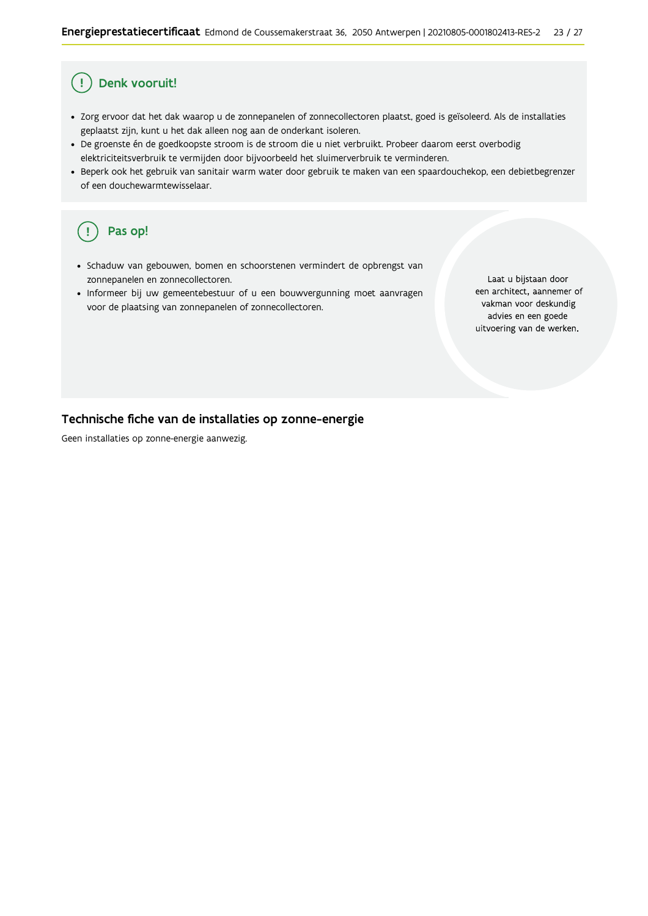#### Ţ Denk vooruit!

- · Zorg ervoor dat het dak waarop u de zonnepanelen of zonnecollectoren plaatst, goed is geïsoleerd. Als de installaties geplaatst zijn, kunt u het dak alleen nog aan de onderkant isoleren.
- · De groenste én de goedkoopste stroom is de stroom die u niet verbruikt. Probeer daarom eerst overbodig elektriciteitsverbruik te vermijden door bijvoorbeeld het sluimerverbruik te verminderen.
- · Beperk ook het gebruik van sanitair warm water door gebruik te maken van een spaardouchekop, een debietbegrenzer of een douchewarmtewisselaar.

#### Pas op!  $\left(\right.$   $\right.$

- · Schaduw van gebouwen, bomen en schoorstenen vermindert de opbrengst van zonnepanelen en zonnecollectoren.
- Informeer bij uw gemeentebestuur of u een bouwvergunning moet aanvragen voor de plaatsing van zonnepanelen of zonnecollectoren.

Laat u bijstaan door een architect, aannemer of vakman voor deskundig advies en een goede uitvoering van de werken.

# Technische fiche van de installaties op zonne-energie

Geen installaties op zonne-energie aanwezig.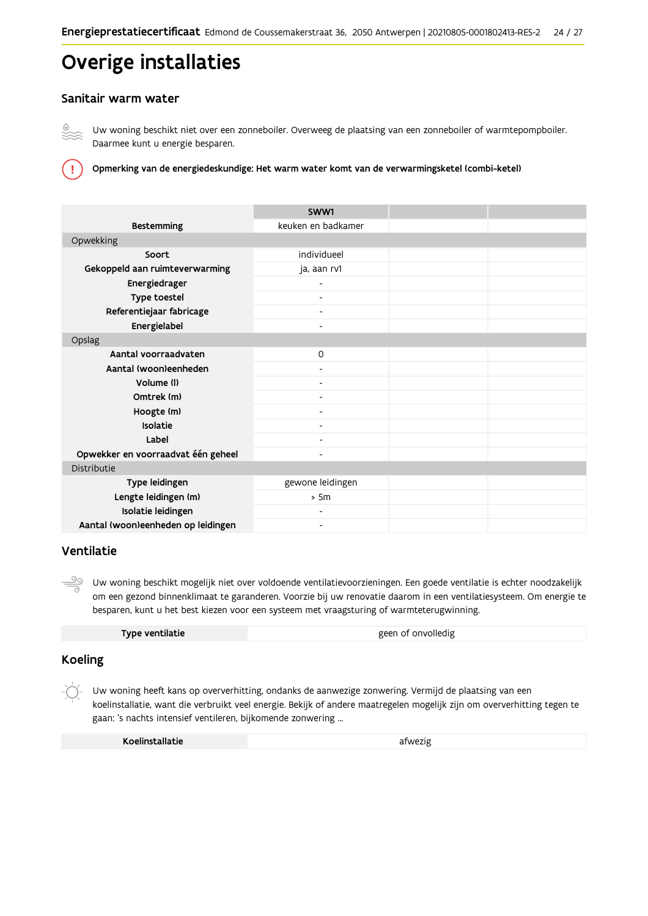# Overige installaties

# Sanitair warm water



T

Uw woning beschikt niet over een zonneboiler. Overweeg de plaatsing van een zonneboiler of warmtepompboiler. Daarmee kunt u energie besparen.

Opmerking van de energiedeskundige: Het warm water komt van de verwarmingsketel (combi-ketel)

|                                    | SWW1                     |  |
|------------------------------------|--------------------------|--|
| <b>Bestemming</b>                  | keuken en badkamer       |  |
| Opwekking                          |                          |  |
| Soort                              | individueel              |  |
| Gekoppeld aan ruimteverwarming     | ja, aan rv1              |  |
| Energiedrager                      |                          |  |
| Type toestel                       |                          |  |
| Referentiejaar fabricage           | $\overline{\phantom{a}}$ |  |
| Energielabel                       | -                        |  |
| Opslag                             |                          |  |
| Aantal voorraadvaten               | $\mathsf{O}$             |  |
| Aantal (woon)eenheden              |                          |  |
| Volume (I)                         | $\overline{\phantom{0}}$ |  |
| Omtrek (m)                         |                          |  |
| Hoogte (m)                         |                          |  |
| Isolatie                           |                          |  |
| Label                              |                          |  |
| Opwekker en voorraadvat één geheel | -                        |  |
| Distributie                        |                          |  |
| Type leidingen                     | gewone leidingen         |  |
| Lengte leidingen (m)               | > 5m                     |  |
| Isolatie leidingen                 |                          |  |
| Aantal (woon)eenheden op leidingen | ٠                        |  |

# Ventilatie

౨ Uw woning beschikt mogelijk niet over voldoende ventilatievoorzieningen. Een goede ventilatie is echter noodzakelijk om een gezond binnenklimaat te garanderen. Voorzie bij uw renovatie daarom in een ventilatiesysteem. Om energie te besparen, kunt u het best kiezen voor een systeem met vraagsturing of warmteterugwinning.

| Type ventilatie | geen of onvolledig |
|-----------------|--------------------|
|-----------------|--------------------|

# **Koeling**

Uw woning heeft kans op oververhitting, ondanks de aanwezige zonwering. Vermijd de plaatsing van een koelinstallatie, want die verbruikt veel energie. Bekijk of andere maatregelen mogelijk zijn om oververhitting tegen te gaan: 's nachts intensief ventileren, bijkomende zonwering ...

| Koelinstallatie | afwezig |
|-----------------|---------|
|-----------------|---------|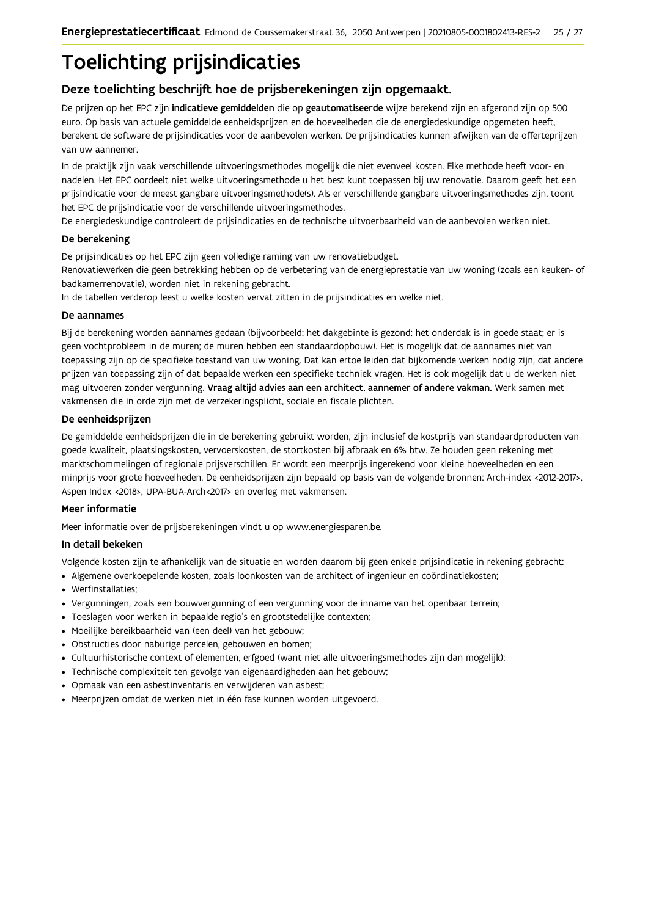# **Toelichting prijsindicaties**

# Deze toelichting beschrijft hoe de prijsberekeningen zijn opgemaakt.

De prijzen op het EPC zijn indicatieve gemiddelden die op geautomatiseerde wijze berekend zijn en afgerond zijn op 500 euro. Op basis van actuele gemiddelde eenheidsprijzen en de hoeveelheden die de energiedeskundige opgemeten heeft, berekent de software de prijsindicaties voor de aanbevolen werken. De prijsindicaties kunnen afwijken van de offerteprijzen van uw aannemer.

In de praktijk zijn vaak verschillende uitvoeringsmethodes mogelijk die niet evenveel kosten. Elke methode heeft voor- en nadelen. Het EPC oordeelt niet welke uitvoeringsmethode u het best kunt toepassen bij uw renovatie. Daarom geeft het een prijsindicatie voor de meest gangbare uitvoeringsmethode(s). Als er verschillende gangbare uitvoeringsmethodes zijn, toont het EPC de prijsindicatie voor de verschillende uitvoeringsmethodes.

De energiedeskundige controleert de prijsindicaties en de technische uitvoerbaarheid van de aanbevolen werken niet.

### De berekening

De prijsindicaties op het EPC zijn geen volledige raming van uw renovatiebudget.

Renovatiewerken die geen betrekking hebben op de verbetering van de energieprestatie van uw woning (zoals een keuken- of badkamerrenovatie), worden niet in rekening gebracht.

In de tabellen verderop leest u welke kosten vervat zitten in de prijsindicaties en welke niet.

#### De aannames

Bij de berekening worden aannames gedaan (bijvoorbeeld: het dakgebinte is gezond; het onderdak is in goede staat; er is geen vochtprobleem in de muren; de muren hebben een standaardopbouw). Het is mogelijk dat de aannames niet van toepassing zijn op de specifieke toestand van uw woning. Dat kan ertoe leiden dat bijkomende werken nodig zijn, dat andere prijzen van toepassing zijn of dat bepaalde werken een specifieke techniek vragen. Het is ook mogelijk dat u de werken niet mag uitvoeren zonder vergunning. Vraag altijd advies aan een architect, aannemer of andere vakman. Werk samen met vakmensen die in orde zijn met de verzekeringsplicht, sociale en fiscale plichten.

#### De eenheidsprijzen

De gemiddelde eenheidspriizen die in de berekening gebruikt worden, zijn inclusief de kostpriis van standaardproducten van goede kwaliteit, plaatsingskosten, vervoerskosten, de stortkosten bij afbraak en 6% btw. Ze houden geen rekening met marktschommelingen of regionale prijsverschillen. Er wordt een meerprijs ingerekend voor kleine hoeveelheden en een minprijs voor grote hoeveelheden. De eenheidsprijzen zijn bepaald op basis van de volgende bronnen: Arch-index <2012-2017>, Aspen Index <2018>, UPA-BUA-Arch<2017> en overleg met vakmensen.

## Meer informatie

Meer informatie over de prijsberekeningen vindt u op www.energiesparen.be.

### In detail bekeken

Volgende kosten zijn te afhankelijk van de situatie en worden daarom bij geen enkele prijsindicatie in rekening gebracht:

- Algemene overkoepelende kosten, zoals loonkosten van de architect of ingenieur en coördinatiekosten;
- Werfinstallaties:
- · Vergunningen, zoals een bouwvergunning of een vergunning voor de inname van het openbaar terrein;
- Toeslagen voor werken in bepaalde regio's en grootstedelijke contexten:
- · Moeilijke bereikbaarheid van (een deel) van het gebouw;
- · Obstructies door naburige percelen, gebouwen en bomen;
- · Cultuurhistorische context of elementen, erfgoed (want niet alle uitvoeringsmethodes zijn dan mogelijk);
- · Technische complexiteit ten gevolge van eigenaardigheden aan het gebouw;
- · Opmaak van een asbestinventaris en verwijderen van asbest;
- · Meerprijzen omdat de werken niet in één fase kunnen worden uitgevoerd.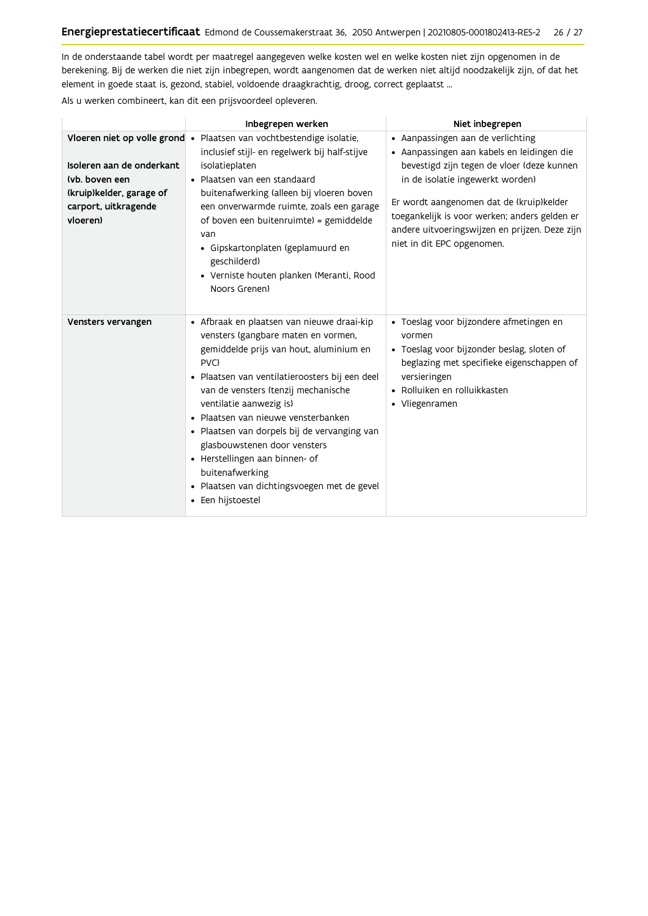In de onderstaande tabel wordt per maatregel aangegeven welke kosten wel en welke kosten niet zijn opgenomen in de berekening. Bij de werken die niet zijn inbegrepen, wordt aangenomen dat de werken niet altijd noodzakelijk zijn, of dat het element in goede staat is, gezond, stabiel, voldoende draagkrachtig, droog, correct geplaatst ...

Als u werken combineert, kan dit een prijsvoordeel opleveren.

|                                                                                                             | Inbegrepen werken                                                                                                                                                                                                                                                                                                                                                                                                                                                                                        | Niet inbegrepen                                                                                                                                                                                                                                                                                                                                |
|-------------------------------------------------------------------------------------------------------------|----------------------------------------------------------------------------------------------------------------------------------------------------------------------------------------------------------------------------------------------------------------------------------------------------------------------------------------------------------------------------------------------------------------------------------------------------------------------------------------------------------|------------------------------------------------------------------------------------------------------------------------------------------------------------------------------------------------------------------------------------------------------------------------------------------------------------------------------------------------|
| Isoleren aan de onderkant<br>(vb. boven een<br>(kruip)kelder, garage of<br>carport, uitkragende<br>vloeren) | Vloeren niet op volle grond • Plaatsen van vochtbestendige isolatie,<br>inclusief stijl- en regelwerk bij half-stijve<br>isolatieplaten<br>· Plaatsen van een standaard<br>buitenafwerking (alleen bij vloeren boven<br>een onverwarmde ruimte, zoals een garage<br>of boven een buitenruimte) = gemiddelde<br>van<br>· Gipskartonplaten (geplamuurd en<br>geschilderd)<br>· Verniste houten planken (Meranti, Rood<br>Noors Grenen)                                                                     | • Aanpassingen aan de verlichting<br>· Aanpassingen aan kabels en leidingen die<br>bevestigd zijn tegen de vloer (deze kunnen<br>in de isolatie ingewerkt worden)<br>Er wordt aangenomen dat de (kruip)kelder<br>toegankelijk is voor werken; anders gelden er<br>andere uitvoeringswijzen en prijzen. Deze zijn<br>niet in dit EPC opgenomen. |
| Vensters vervangen                                                                                          | • Afbraak en plaatsen van nieuwe draai-kip<br>vensters (gangbare maten en vormen,<br>gemiddelde prijs van hout, aluminium en<br>PVC)<br>· Plaatsen van ventilatieroosters bij een deel<br>van de vensters (tenzij mechanische<br>ventilatie aanwezig is)<br>· Plaatsen van nieuwe vensterbanken<br>· Plaatsen van dorpels bij de vervanging van<br>glasbouwstenen door vensters<br>• Herstellingen aan binnen- of<br>buitenafwerking<br>· Plaatsen van dichtingsvoegen met de gevel<br>• Een hijstoestel | · Toeslag voor bijzondere afmetingen en<br>vormen<br>· Toeslag voor bijzonder beslag, sloten of<br>beglazing met specifieke eigenschappen of<br>versieringen<br>• Rolluiken en rolluikkasten<br>• Vliegenramen                                                                                                                                 |